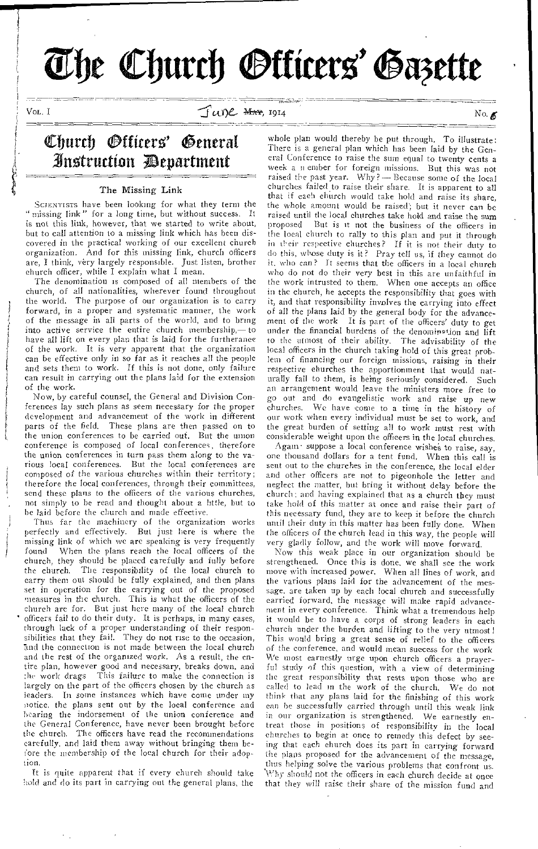# The Church **Otticers' Gazette**

VOL. I

 $J(u)$   $\ell$   $\blacksquare$   $\blacksquare$   $\blacksquare$   $\blacksquare$   $\blacksquare$   $\blacksquare$   $\blacksquare$   $\blacksquare$   $\blacksquare$   $\blacksquare$   $\blacksquare$   $\blacksquare$   $\blacksquare$   $\blacksquare$   $\blacksquare$   $\blacksquare$   $\blacksquare$   $\blacksquare$   $\blacksquare$   $\blacksquare$   $\blacksquare$   $\blacksquare$   $\blacksquare$   $\blacksquare$   $\blacksquare$   $\blacksquare$   $\blacksquare$   $\blacksquare$   $\blacksquare$   $\blacksquare$ 

# Church *Officers'* General 3ttli4rurtion epartment

## The Missing Link

SCIENTISTS have been looking for what they term the "missing link" for a long time, but without success. It is not this link, however, that we started to write about, but to call attention to a missing link which has been discovered in the practical working of our excellent church organization. And for this missing link, church officers are, I think, very largely responsible. Just listen, brother church officer, while I explain what I mean.

The denomination is composed of all members of the church, of all nationalities, wherever found throughout the world. The purpose of our organization is to carry forward, in a proper and systematic manner, the work of the message in all parts of the world, and to bring into active service the entire church membership,— to have all lift on every plan that is laid for the furtherance of the work. It is very apparent that the organization can be effective only in so far as it reaches all the people and sets them to work. If this is not done, only failure can result in carrying out the plans laid for the extension of the work.

Now, by careful counsel, the General and Division Conferences lay such plans as seem necessary for the proper development and advancement of the work in different parts of the field. These plans are then passed on to the union conferences to be carried out. But the union conference is composed of local conferences, therefore the union conferences in turn pass them along to the various local conferences. But the local conferences are composed of the various churches within their territory; therefore the local conferences, through their committees, send these plans to the officers of the various churches, not simply to be read and thought about a little, but to be laid before the church and made effective.

Thus far the machinery of the organization works perfectly and effectively. But just here is where the missing link of which we are speaking is very frequently found When the plans reach the local officers of the church, they should be placed carefully and fully before the church. The responsibility of the local church to The responsibility of the local church to carry them out should be fully explained, and then plans set in operation for the carrying out of the proposed measures in the church. This is what the officers of the church are for. But just here many of the local church ' officers fail to do their duty. It is perhaps, in many cases, through lack of a proper understanding of their responsibilities that they fail. They do not rise to the occasion, and the connection is not made between the local church and the rest of the organized work. As a result, the entire plan, however good and necessary, breaks down, and the work drags This failure to make the connection is largely on the part of the officers chosen by the church as leaders. In some instances which have come under my notice, the plans sent out by the local conference and hearing the indorsement of the union conference and the General Conference, have never been brought before the church. The officers have read the recommendations carefully, and laid them away without bringing them before the membership of the local church for their adoption.

ft is quite apparent that if every church should take hold and do its part in carrying out the general plans, the

whole plan would thereby be put through, To illustrate: There is a general plan which has been laid by the General Conference to raise the sum equal to twenty cents a week a member for foreign missions. But this was not raised the past year. Why ? — Because some of the local churches failed to raise their share. It is apparent to all that if each church would take hold and raise its share, the whole amount would be raised; but it never can be raised until the local churches take hold and raise the sum proposed But is it not the business of the officers in the local church to rally to this plan and put it through in their respective churches? If it is not their duty to do this, whose duty is it? Pray tell us, if they cannot do it. who can? It seems that the officers in a local church who do not do their very best in this are unfaithful in the work intrusted to them. When one accepts an office in the church, he accepts the responsibility that goes with it, and that responsibility involves the carrying into effect of all the plans laid by the general body for the advancement of the work It is part of the officers' duty to get under the financial burdens of the denomination and lift to the utmost of their ability. The advisability of the local officers in the church taking hold of this great problem of financing our foreign missions, raising in their respective churches the apportionment that would naturally fall to them, is being seriously considered. Such an arrangement would leave the ministers more free to go out and do evangelistic work and raise up new<br>churches. We have come to a time in the history of We have come to a time in the history of our work when every individual must be set to work, and the great burden of setting all to work must rest with considerable weight upon the officers in the local churches.

 $\Lambda$ gam · suppose a local conference wishes to raise, say, one thousand dollars for a tent fund. When this call is sent out to the churches in the conference, the local elder and other officers are not to pigeonhole the letter and neglect the matter, but bring it without delay before the church: and having explained that as a church they must take hold of this matter at once and raise their part of this necessary fund, they are to keep it before the church until their duty in this matter has been fully done. When the officers of the church lead in this way, the people will very gladly follow, and the work will move forward.

Now this weak place in our organization should be strengthened. Once this is done, we shall see the work move with increased power. When all lines of work, and the various plans laid for the advancement of the message, are taken up by each local church and successfully carried forward, the message will make rapid advancement in every conference. Think what a tremendous help it would be to have a corps of strong leaders in each church under the burden and lifting to the very utmost! This would bring a great sense of relief to the officers of the conference, and would mean success for the work We most earnestly urge upon church officers a prayerful study of this question, with a view of determining the great responsibility that rests upon those who are called to lead in the work of the church. We do not think that any plans laid for the finishing of this work can he successfully carried through until this weak link in our organization is strengthened. We earnestly entreat those in positions of responsibility in the local churches to begin at once to remedy this defect by seeing that each church does its part in carrying forward the plans proposed for the advancement of the message, thus helping solve the various problems that confront us. Why should not the officers in each church decide at once that they will raise their share of the mission fund and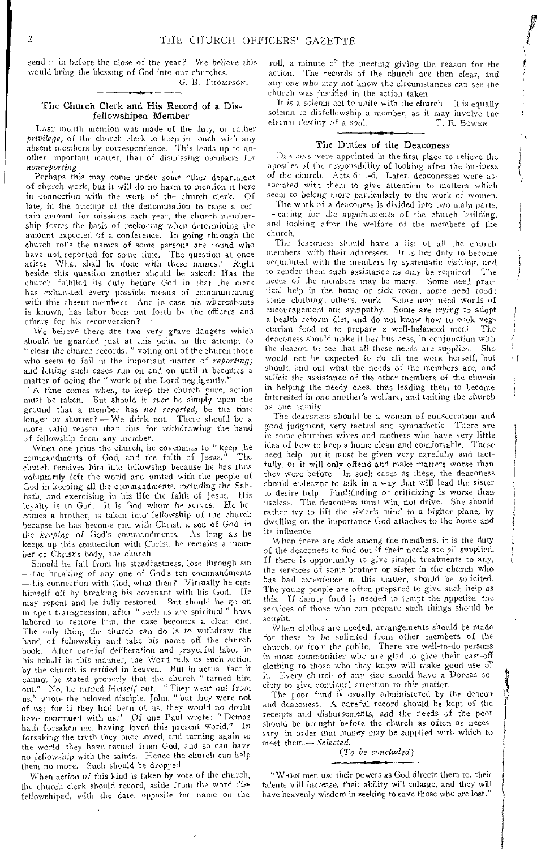send it in before the close of the year? We believe this would bring the blessing of God into our churches. G. B. THOMPSON.

## The Church Clerk and His Record of a Disfellowshiped Member

LAST month mention was made of the duty, or rather *privilege,* of the church clerk to keep in touch with any absent members by correspondence. This leads up to another important matter, that of dismissing members for *nottreporting.* 

Perhaps this may come under some other department of church work, but it will do no harm to mention it here in connection with the work of the church clerk. Of late, in the attempt of the denomination to raise a certain amount for missions each year, the church membership forms the basis of *reckoning* when determining the amount expected of a conference. in going through the church rolls the names of some persons are found who have not, reported for some time. The question at once arises, What shall be done with these names? Right beside this question another should be asked: Has the church fulfilled its duty before God in that the clerk has exhausted every possible means of communicating with this absent member? And in case his whereabouts is known, has labor been put forth by the officers and others for his reconversion? •

We believe there are two very grave dangers which should be guarded just at this point in the attempt to clear the church records:" voting out of the church those who seem to fail in the important matter of *reporting;*  and letting such cases run on and on until it becomes a matter of doing the " work of the Lord negligently."

A time comes when, to keep the church pure, action must be taken. But should it *ever* be simply upon the ground that a member has *not reported,* be the time longer or shorter? - We think not. There should be a more valid reason than this for withdrawing the hand of fellowship from any member.

When one joins the church, he covenants to "keep the commandments of God, and the faith of Jesus." The church receives him into fellowship because he has thus voluntarily left the world and united with the people of God in keeping all the commandments, including the Sabbath, and exercising in his life the faith of Jesus. His loyalty is to God, It is God whom he serves. He becomes a brother, is taken into' fellowship of the church because he has become one with Christ, a son of God, in the *keeping* of God's commandments, As long as he keeps up this connection with Christ, he remains a member of Christ's body, the church.

Should he fall from his steadfastness, lose through sin —the breaking *of any* one of God's ten commandments — his connection with God, what then? Virtually he cuts himself off by breaking *his* covenant with his God. He may repent and be fully restored But should he go on in open transgression, after " such as are spiritual " have labored to restore him, the case becomes a clear one. The only thing the church *can* do is to withdraw the hand of fellowship and take his name off the church book. After careful deliberation and prayerful labor in his behalf in this manner, the Word tells us such action by the church is ratified in heaven. But in actual fact it cannot be stated properly that the church "turned him out." No, he turned *himself* out. " They went out from us," wrote the beloved disciple, John, "but they were not of us; for if they had been of us, they would *no* doubt have continued with us." Of one Paul wrote: " Demas hath forsaken me, having loved this present world." In forsaking the truth they once loved, and turning again to the world, they have turned from God, and so can *have*  no fellowship with the saints. Hence the church can help them no more. Such should be dropped.

When action *of* this kind is taken by vote of the church, the church clerk should record, aside from the word disfellowshiped, with the date, opposite the name on the roll, a minute of the meeting giving the reason for the action. The records of the church are then clear, and any *one* who may not know the circumstances can see the church was justified in the action taken.

It is a solemn act to unite with the church It is equally solemn to disfellowship a member, as it may involve the eternal destiny of a soul. T. E. Bowen. eternal destiny of a soul.

## The Duties of the Deaconess

DEACONS were appointed in the first place to relieve the apostles of the responsibility of looking after the business *of* the church. Acts 6. i-6. Later, deaconesses were associated with them to give attention to matters which seem to belong more particularly to the work of women.

The work of a deaconess is divided into two main parts, — caring for the appointments of the church building, and looking after the welfare of the members of the church.

The deaconess should have a list of all the church members, with their addresses. It *is* her duty to become acquainted with the members by systematic visiting, and to render them such assistance *as* may be required The needs of the members may be many. Some need practical help in the home or sick room, some need food: some, clothing; others, work Some may need words of encouragement and sympathy. Sonic are trying to adopt a health reform diet, and do not know how to cook veg-<br>etarian food of to prepare a well-halaweed meal. The etarian food or to prepare a well-balanced meal deaconess should make it her business, in conjunction with the deacon. to see that all these needs are supplied. She would not be expected to do all the work herself, but should find out what the needs of the members are, and solicit the assistance of the other members of the church in helping the needy ones, thus leading them to become interested *in* one another's welfare, and uniting the church as one family

The deaconess should be a woman of consecration and good judgment, very tactful and sympathetic. There are in some churches wives and mothers who have very little idea of how to keep a home clean and comfortable. These need help, but it must be given very carefully and tactfully, or it will only offend and make matters worse than they were before. In such *cases* as these, the deaconess should endeavor to talk in a way that will lead the sister to desire help Faultfinding or criticizing is worse than useless. The deaconess must win, not drive. She should rather try to lift the sister's mind to a higher plane, by dwelling on the importance God attaches to the home and its influence

When there are sick among the members, it is the duty of the deaconess to find out if their needs are all supplied, If there is opportunity to give simple treatments to any, the services of some brother or sister in the church who *has* had experience in this matter, should be solicited. The young people are often prepared to give such help as this. If dainty food is needed to tempt the appetite, the services of those who can prepare such things should he sought.

When clothes are needed, arrangements should be made for these to be solicited from other members of the church, or from the public. There are well-to-do persons in most communities who are glad to give their cast-off clothing to those who they know will make good use Of it. Every church of *any* size should have a Dorcas society to give continual attention to this matter.

The poor fund is usually administered by the deacon and deaconess. A careful record should be kept of the receipts and disbursements, and the needs of the poor should be brought before the church as often as necessary, in order that money may be supplied with which to meet them.— *Selected.* 

*(To be concluded)* 

"WHEN men use their powers as God directs them to, their talents will *increase,* their ability will enlarge, and they will have heavenly wisdom in seeking to save those who are lost."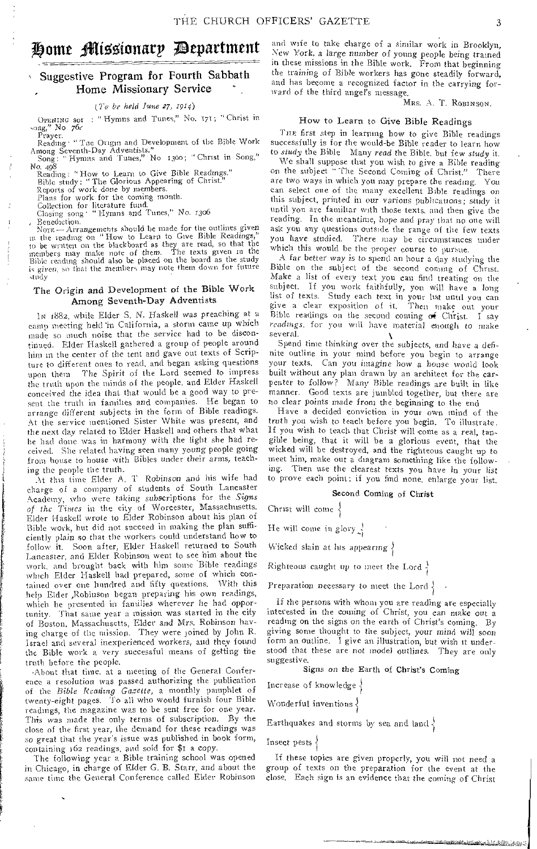# Home Missionary Department

## Suggestive Program for Fourth Sabbath Home Missionary Service

*(7'o be held June 27, 1914)* 

OPENING sot: "Hymns and Tunes," No. 171; "Christ in song," No 76/

...<br>rayer. Reading • "Toe Origin and Development of the Bible Work Among Seventh-Day Adventists."<br>"Song: "Hymns and Tunes," No 1300; "Christ in Song,"

*No. 498*<br>| Reading: "How to Learn to Give Bible Readings."

Bible study: " The Glorious Appearing of Christ."

Reports of work done by members. Plans for work for the coming month.

Collection for literature fund. Closing song • "Hymns and Tunes," *No. x3o6* 

Benediction.<br>Nore — Arrangements should be made for the outlines given in the reading on "How to Learn to Give Bible Readings," In be written on the blackboard as they are read, so that the members may make note of them. The texts given in the Bible reading should also be placed on the board as the study is *given,* so that the members may note them down for future study

## The Origin and Development of the Bible Work Among Seventh-Day Adventists

IN 1882, while Elder S. N. Haskell was preaching at a camp meeting held 'in California, a storm came up which made so much noise that the service had to be discontinued. Elder Haskell gathered a group of people around him in the center of the tent and gave out texts of Scripture to different ones to read, and began asking questions upon them The Spirit of the Lord seemed to impress the truth upon the minds of the people, and Elder Haskell conceived the idea that that would be a good way to present the truth in families and companies. He began to arrange different subjects in the form of Bible readings. At the service mentioned Sister White was present, and the next day related to Elder Haskell and others that what he had done was in harmony with the light she had received. She related having seen many young people going from house to house with Bibles under their arms, teaching the people the truth.

At this time Elder A. T Robinson and his wife had charge of a company of students of South Lancaster Academy, who were taking subscriptions for the *Signs of the Times* in the city of Worcester, Massachusetts. Elder Haskell wrote to Elder Robinson about his plan of Bible work, but did not succeed in making the plan sufficiently plain so that the workers could understand how to follow it. Soon after, Elder Haskell returned to South Lancaster, and Elder Robinson went to see him about the work, and brought back with him some 'Bible readings which Elder Haskell had prepared, some of which contained over one hundred and fifty questions. With this help Elder ,Robinson began preparing his own readings, which he presented in families wherever he had opportunity. That same year a mission was started in the city of Boston, Massachusetts, Elder and *Mrs.* Robinson having charge of the mission. They were joined by John R. Israel and several inexperienced workers, and they found the Bible work a very successful means of getting the truth before the people.

About that time. at a meeting of the General Conference a resolution was passed authorizing the publication of the *Bible Reading Gasette,* a monthly pamphlet of twenty-eight pages. To all who would furnish four Bible readings, the magazine was to be sent free for one year. This was made the only terms of subscription. By the close of the first year, the demand for these readings was *so* great that the year's issue was published in book form, containing 162 readings, and sold for \$1 a copy,

The following year a Bible training school was opened in Chicago, in charge of Elder G. B. Starr, and about the same time the General Conference called Elder Robinson and wife to take charge of a similar work in Brooklyn, New York, a large number of young people being trained in these missions in the Bible work. From that beginning the training of Bible workers has gone steadily forward, and has become a recognized factor in the carrying forward of the third angel's message.

## MRS. A. T. ROBINSON.

## How to Learn to Give Bible Readings

Tne first step in learning how to give Bible readings successfully is for the would-be Bible reader to learn how to *study* the Bible Many *read* the Bible, but few *study* it.

We shall suppose that you wish to give a Bible reading on the subject "The Second Coming of Christ." There are two ways in which you may prepare the reading. You can select one of the many excellent Bible readings on this subject, printed in our various *publications;* study it until you are familiar with those texts, and then give the reading. In the meantime, hope and pray that no one will ask you any questions outside the range of the few texts you have studied. There may be circumstances under which this would be the proper course to pursue.

A *far* better way is to spend an hour a day studying the Bible on the subject of the second coming of Christ. Make a list of every text you can find treating on the subject. If you work faithfully, you will have a long list of texts. Study each text in your list until you can give a clear exposition of it. Then make out your Bible readings on the second conting  $of$  Christ. I say *readings,* for you will have material enough to make several.

Spend time thinking over the subjects, and have a definite outline in your mind before you begin to arrange your texts. Can you imagine how a house would look built without any plan drawn by an architect for the carpenter to follow? Many Bible readings are built in like manner. Good texts are jumbled together, but there are no clear points made from the beginning to the end

Have a decided conviction in your own mind of the truth you wish to teach before you begin. To illustrate. If you wish to teach that Christ will come as a real, tangible being, that it will he a glorious event, that the wicked will be destroyed, and the righteous caught up to meet him, make out a diagram something like the following. Then use the clearest texts you have in your list to prove each point; if you find none, enlarge your list.

## Second Coming of Christ

Christ will come  $\frac{1}{2}$ 

He will come in glory  $\frac{1}{2}$ 

Wicked slain at lus appearing  $\}$ 

Righteous caught up to meet the Lord  $\frac{1}{2}$ 

Preparation necessary to meet the Lord  $\{$ 

If the persons with whom you are reading are especially interested in the coming of Christ, you can make out a reading on the signs on the earth of Christ's coming. By giving some thought to the subject, your *mind* will soon form an outline. I give an illustration, but wish it understood that these are not model outlines. They are only suggestive.

Signs *on* the Earth of Christ's Coming

Increase of knowledge

Wonderful inventions  $\langle$ 

Earthquakes and storms by sea and land

Insect pests  $\}$ 

If these topics are given properly, you will not need a group of texts on the preparation for the event at the close. Each sign is an evidence that the coming of' Christ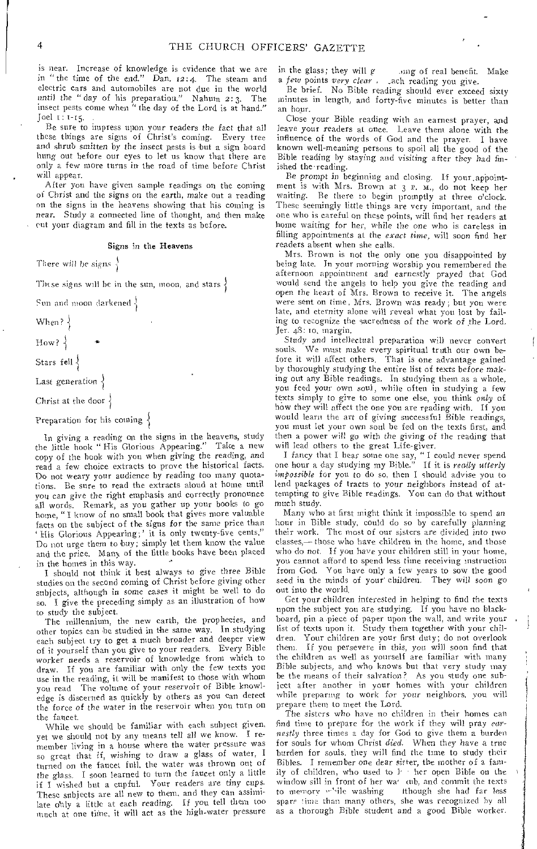is near. Increase of knowledge is evidence that we are in "the time of the end." *Dan.* 12:4. The steam and electric cars and automobiles are not due in the world until the "day of his preparation." Nahum 2:3. The insect pests come when " the day of the Lord is at hand."  $Joel$   $I: I-I5.$ 

Be sure to impress upon your readers the fact that all these things are signs of Christ's coming. Every tree and shrub smitten by the insect pests is but a sign board hung out before our eyes to let us know that there are only a few more turns in the road of time before Christ will appear.

After you have given sample readings on the coming of Christ and the signs on the earth, make out a reading on the signs in the heavens showing that his coming is near. Study a connected line of thought, and then make cut your diagram and fill in the texts as before.

#### Signs in the Heavens

There will he *signs* 

These signs will be in the sun, moon, and stars  $\}$ 

Sun and moon darkened

When? {

How? $\frac{1}{2}$ 

Stars fell  $\{$ 

Last generation  $\{$ 

Christ at the door  $\{$ 

Preparation for his coming  $\{$ 

In giving a reading on the signs in the heavens, study the little hook " His Glorious Appearing." Take a new copy of the hook with you when giving the reading, and read a few choice extracts to prove the historical facts. Do not weary your audience by reading too many quotations. Be sure to read the extracts aloud at home until you can give the right emphasis and correctly pronounce all words. Remark, as you gather up your books to go home, " I know of no small book that gives more valuable facts on the subject of the signs for the same price than ' Ills Glorious Appearing;' it is only twenty-five cents." Do not urge them to buy; simply let them know the value and the price. Many of the little books have been placed in the homes in this way.

I should not think it best always to give three Bible studies on the second coming of Christ before giving other subjects, although in some cases it might be well to do so. I give the preceding simply as an illustration of how to study the subject.

The millennium, the new earth, the prophecies, and other topics can be studied in the same way. In studying each subject try to get a much broader and deeper view of it yourself than you give to your readers. Every Bible worker needs a reservoir of knowledge from which to draw. If you are familiar with only the few texts you use in the reading, it will be manifest to those with whom you read The volume of your reservoir of Bible knowledge is discerned as quickly by others as you can detect the force of the water in the reservoir when you turn on the faucet.

While we should be familiar with each subject given, yet we should not by any means tell all we know. I remember living in a house where the water pressure was so great that if, wishing to draw a glass of water, I turned on the faucet full, the water was thrown out of the glass. I soon learned to turn the faucet only a little if I wished but a cupful. Your readers are tiny cups. These subjects are all new to them, and they can assimilate only a little at each reading. If you tell them too much at one time, it will act as the high-water pressure

in the glass; they will g ... ing of real benefit. Make a *few points very clear* . ach reading you give.

Be brief. No Bible reading should ever exceed sixty minutes in length, and forty-five minutes is better than an hour.

Close your Bible reading with an earnest prayer, and leave your readers at once. Leave them alone with the influence of the words of God and the prayer. I have known well-meaning persons to spoil all the good of the Bible reading by staying and visiting after they had *fin*ished the-reading.

Be prompt in beginning and closing. If your appointment is with Mrs. Brown at 3 P. M., do not keep her waiting. Be there to begin promptly at three o'clock. These seemingly little things are very important, and the one who is careful on these points, will find her readers at home waiting for her, while the one who is careless in filling appointments at the *exact time,* will soon find her readers absent when she calls.

Mrs. Brown is not the only one you disappointed by being late. In your morning worship you remembered the afternoon appointment and earnestly prayed that God would send the angels to help you give the reading and open the heart of Mrs. Brown to receive it. The angels were sent on time, Mrs. Brown was ready; but you were late, and eternity alone will reveal what you lost by failing to recognize the sacredness of the work *of* the Lord. Jer. 48: 10, margin.

Study and intellectual preparation will never convert souls. 'We must make every spiritual truth our own before it will affect others. That is one advantage gained by thoroughly studying the entire list of texts before making out any Bible readings. In studying them as a whole, you feed your own soul, while often in studying a few texts simply to give to some one else, you think *only* of how they will affect the one you are reading with. If you would learn the art of giving successful Bible readings, you must let your own soul be fed on the texts first, and then a power will go with the *giving* of the reading that will lead others to the great Life-giver.

I fancy that I hear some one say, " I could never spend one hour a clay studying my Bible." If it is *really utterly impossible* for you to do so, then I should advise you to lend packages of tracts to your neighbors instead of attempting to give Bible readings. You can do that without much study.

Many who at first might think it impossible to spend an hour in Bible study, could do so by carefully planning their work. The most of our sisters are divided into two classes,— those who have children in the home, and those who do not. If you have your children still in your home, you cannot afford to spend less time receiving instruction from God. You have only a few years to sow the good seed in the minds of your' children. They will soon *go*  out into the world.

Get your children interested in helping to find the texts upon the subject you are studying. If you have no blackboard, pin a piece of paper upon the wall, and write your list of texts upon it. Study them together with your children. Your children are your first duty; do not overlook them. If you persevere in this, you will soon find that the children as well as yourself are familiar with many Bible subjects, and who knows but that very study may be the means of their salvation? As you study one subject after another in your homes with your children while preparing to work for *your* neighbors, *you* will prepare them to meet the Lord.

The *sisters* who have no children in their homes can find time to prepare for the work if they will pray *earnestly* three times a day for God to give them a burden for souls for whom Christ *died.* When they have a true burden for souls, they will find the time to study their Bibles. I remember one dear sister, the mother of a family of children, who used to  $l$  ther open Bible on the window sill in front of her wa<sup>*i*</sup> cub, and commit the texts to memory while washing ithough she had far less though she had far less spare time than many others, she was recognized by all as a thorough Bible student and a good Bible worker.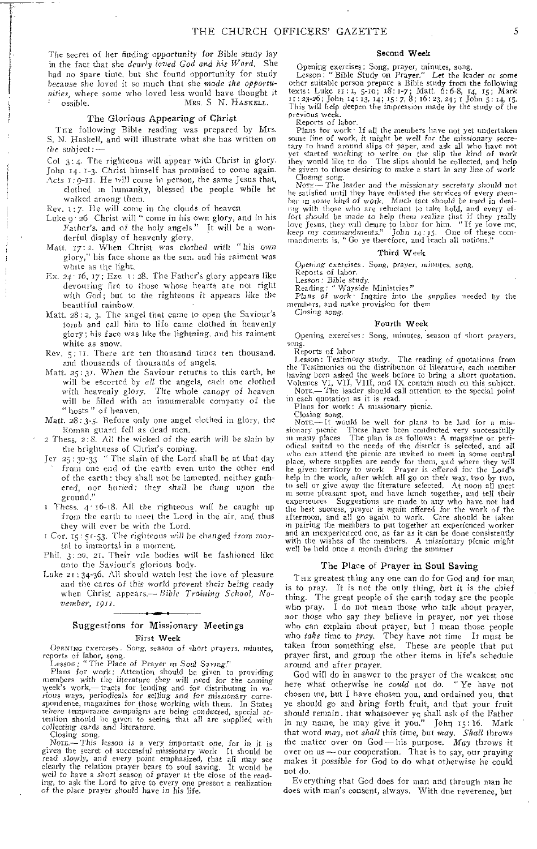The secret of her finding opportunity for Bible study lay in the fact that she dearly loved God and his Word. She had no spare time. but she found opportunity for study because she loved it so much that she made the opportunities, where some who loved less would have thought it  $\cdot$  ossible. Mrs. S N. HASKELL. ossible. **MRS.** S N. **HASKELL.** 

#### The Glorious Appearing of Christ

TnE following Bible reading was prepared by Mrs. S. N. Haskell, and will illustrate what she has written on the subject:—

Col 3:4. The righteous will appear with Christ in glory. John 14. 1-3. Christ himself has promised to come again.

Acts 1: g-it. He will come in person, the same Jesus that, clothed in humanity, blessed the people while he walked among them.

Rev.  $1:7$ . He will come in the clouds of heaven

- Luke 9. 26 Christ will " come in his own glory, and in his Father's. and of the holy angels" It will be a wonderful display of heavenly glory.
- Matt. 17:2. When Christ was clothed with "his own glory," his face shone as the sun. and his raiment was white as the light.
- Ex. 24' 16, 17; Eze 1: 28. The Father's glory appears like devouring fire to those whose hearts are not right with God; but to the righteous it appears like the beautiful rainbow.
- Matt. 28: 2, 3. The angel that came to open the Saviour's tomb and call him to life came clothed in heavenly glory; his face was like the lightning, and his raiment white as snow.
- Rev. **5:1r.** There are ten thousand times ten thousand. and thousands of thousands of angels.
- Matt. 25:31. When the Saviour returns to this earth, he will be escorted by all the angels, each one clothed with heavenly glory. The whole canopy of heaven will he filled with an innumerable company of the "hosts" of heaven.
- Matt. 28: 3-5. Before only one angel clothed in glory, the Roman guard fell as dead men.
- **2** Thess. 2:8. All the wicked of the earth will be slain by the brightness of Christ's coming.
- Jer 25:30-33 "The slain of the Lord shall be at that day from one end of the earth even unto the other end of the earth: they shall not be lamented. neither gathered, nor buried: they shall be dung upon the ground."
- $\frac{1}{\pi}$  Thess. 4  $\frac{16-18}{16}$ . All the righteous will be caught up from the earth to meet the Lord in the air. and thus they will ever be with the Lord.
- Cor. 15: 51-53. The righteous will be changed front mortal to immortal in a moment.
- Phil. 3:20. 21. Their vile bodies will be fashioned like unto the Saviour's glorious body.
- Luke **21:34-36.** All should watch lest the love of pleasure and the cares of this world prevent their being ready when Christ appears. $-$  Bible Training School, November, 1911.

## Suggestions for Missionary Meetings First Week

**OPENING** exercises. Song, season of short prayers. minutes,

reports of labor, song. Lesson: "The Place of Prayer in Soul Saving."

Plans for work: Attention should be given to providing members with the literature they will need for the coming week's work,— tracts for lending and for distributing in various ways, periodicals for selling and for missionary corre-spondence, magazines for those working with them. In States where temperance campaigns are being conducted, special at-tention should he given to seeing that all are supplied with collecting cards and literature.

Closing song.<br>Note - This lesson is a very important one, for in it is given the secret of successful missionary work It should be read slowly, and every point emphasized, that all may see clearly the relation prayer bears to soul saving. It would be well to have a short season of prayer at the close of the reading, to ask the Lord to give to every one present a realization of the place prayer should have in

#### Second Week

Opening exercises: Song, prayer, minutes, song.

Lesson: "Bible Study on Prayer." Let the leader or some other suitable person prepare a Bible study from the following<br>texts : Luke 11:1, 5-10; 18:1-7; Matt. 6:6-8, 14, 15; Mark<br>11:23-26; John 14:13, 14; 15:7, 8; 16:23, 24; 1 John 5:14, 15. Phis will help deepen the impression made by the study of the previous week.

Reports of labor.

Plans for work • If all the members have not yet undertaken some line of work, it might be well for the missionary secretary to hand around slips of paper, and ask all who have not yet started working to write on the slip the kind of work they would like to do The slips should be collected, and help he given to those desiring to make a start in any line of work

Closing song. Non— The leader and the missionary secretary should not he satisfied until they have enlisted the services of every member in sonic kind of work. Much tact should be used in dealing with those who are reluctant to take hold, and every ef-fort should be made to help them realize that if they really love Jesus, they will desire to labor for him. "If ye love me, keep my commandments." John 14:15. One of these com-mandments is, "Go ye therefore, and leach all nations."

#### Third Week

Opening exercises. Song, prayer, minutes. song.

Reports of labor.

Lesson: Bible study. Reading: " Wayside Ministries" Plans of work • Inquire into the supplies needed by the

members, and make provision for them Closing song.

#### Fourth Week

Opening exercises: Song, minutes, season of short prayers. song.

Reports of labor

Lesson: Testimony study. The reading of quotations from the Testimonies on the distribution of literature, each member having been asked the week before to bring a short quotation. Volumes VI, VII, VIII, and IX contain much on this subject. Non.— The leader should call attention to the special point

in each quotation as it is read. • Plans for work: **A** missionary picnic.

Closing song,<br>Nore.— It would be well for plans to be laid for a missionary picnic These have been conducted very successfully in many places The plait is as follows: A magazine or periodical suited to the needs of the district is selected, and all who can attend the picnic are invited to meet in some central place, where supplies are ready for them, and where they will he given territory to work Prayer is offered for the Lord's help in the work, after which all go on their way, two by two, to sell or give away the literature selected. At noon all meet in some pleasant spot, and have lunch together, and tell their experiences Suggestions are made to any who have not had the best success, prayer is again offered for the work of the afternoon, and all go again to work. Care should be taken in pairing the members to put together an experienced worker and an inexperienced one, as far as it can be done consistently with the wishes of the members. A missionary picnic might well be held once a month during the summer

## The Place of Prayer in Soul Saving

**THE** greatest thing any one can do for God and for man is to pray. It is not the only thing, but it is the chief thing. The great people of the earth today are the people who pray. I do not mean those who talk about prayer, nor those who say they believe in prayer, nor yet those who can explain about prayer, but I mean those people who take time to pray. They have not time It must be taken from something else. These are people that put prayer first, and group the other items in life's schedule around and after prayer.

God will do in answer to the prayer of the weakest one here what otherwise he could not do. "Ye have not chosen me, but I have chosen you, and ordained you, that ye should go and bring forth fruit, and that your fruit should remain. that whatsoever yc shall ask of the Father in my name, he may give it you." John 15:16. Mark that word may, not shall this time, but may. Shall throws the matter over on God - his purpose. May throws it over on us—our cooperation. That is to say, our praying makes it possible for God to do what otherwise he could not do.

Everything that God does for man and through man he does with man's consent, always. With due reverence, but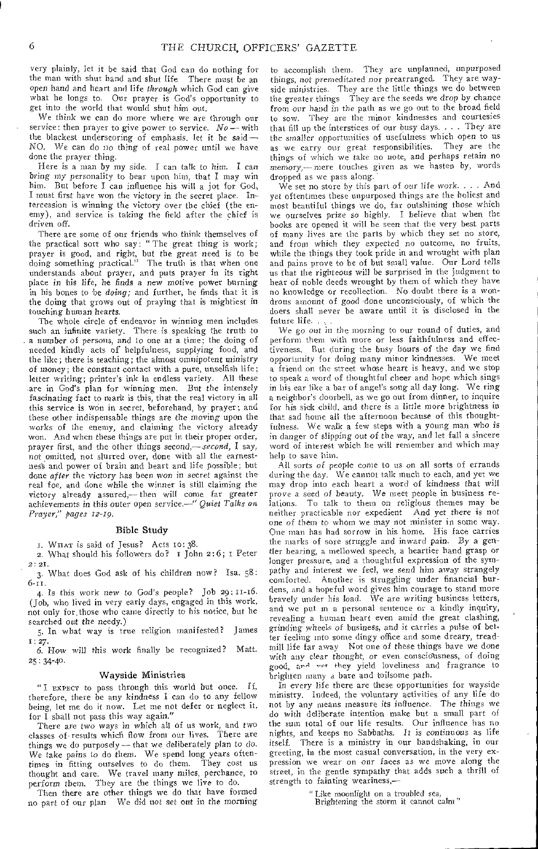very plainly, let it be said that God can do nothing for the man with shut hand and shut life There must be an open hand and heart and life *through* which God can give what he longs to. Our prayer is God's opportunity to get into the world that would shut him out.

We think we can do more where we are through our service: then prayer to give power to service. *No—* with the blackest underscoring of emphasis, let it be said — NO. We can do no thing of real power until we have done the prayer thing.

Here is a man by my side. I can talk to him. I can bring my personality to bear upon him, that I may win him. But before I can influence his will a jot for God, I must first have won the victory in the secret place. Intercession is winning the victory over the chief (the enemy), and service is taking the field after the chief is driven off.

There are some of our friends who think themselves of the practical sort who say: "The great thing is work; prayer is good, and right, but the *great* need is to be doing something practical." The truth is that when one understands about prayer, and puts prayer in its right place in his life, he finds a new motive power burning in his bones to be *doing;* and further, he finds that it is the doing that grows out of praying that is mightiest in touching human hearts.

The whole circle of endeavor in winning men includes such an infinite variety, There is speaking the truth to a number *of persons,* and to one at a time; the doing of needed kindly acts of helpfulness, supplying food, and the like; there is teaching; the almost omnipotent ministry of *money;* the constant contact with a pure, unselfish life; letter writing; printer's ink in endless variety. All these .are in God's plan for winning men. But the intensely *fascinating* fact to mark is this, that the real victory in all this service is won in secret, beforehand, by prayer; and these other indispensable things are the *moving* upon the works of the enemy, and claiming the victory already won. And when these things are put in their proper order, prayer first, and the other things *second,— second,* I say, not omitted, not slurred over, done with all the earnestness and power of brain and heart and life possible; but done *after* the victory has been won in secret against the real foe, and done while the winner is still claiming the victory already assured,— then will come far greater achievements in this outer open service.—" *Quiet Talks on Prayer," pages 12-19.* 

#### Bible Study

r. WILAT is said of Jesus? Acts to: 38.

2. What should his followers do?  $I$  John 2:6; I Peter 2: 21.

3. What does God ask of his children now? Isa. 58: 6-11.

4. Is this work *new* to God's people? Job 29: 11-16. (Job, who lived in very early days, engaged in this work, not only for,those who came directly to his notice, but he searched out the needy.)

5. In what way is true religion manifested? James I; 27.

6. How will this work finally be recognized? Matt. 25: 34-40.

#### Wayside Ministries

" I EXPECT to pass through this world but once. If, therefore, there be any kindness I can do to any fellow being, let me do it now. Let me not defer or neglect it, for I shall not pass this way again."

There are two ways in which all of us work, and two classes of- results which flow from our lives. There are things we do purposely—that we deliberately plan to do. We take pains to do them. We spend long years oftentimes in fitting ourselves to do them. They cost us thought and care. We travel many miles, perchance, to perform them. They are the things we live to do.

Then there are other things we do that have formed no part of our plan We did not set out in the morning

to accomplish them. They are unplanned, unpurposed things, not premeditated nor prearranged. They are wayside ministries. They are the little things we do between the greater things They are the seeds we drop by chance from our hand in the path as we go out to the broad field to sow. They are the minor kindnesses and courtesies that fill up the interstices of our busy days. . . . They are the *smaller* opportunities of usefulness which open to us as we carry our great responsibilities. They are the things of which we take no note, and perhaps retain no memory,— mere touches given as we hasten by, words dropped as we pass along.

We set no store by this part of our *life work.* . . . And yet oftentimes these unpurposed things are the holiest and most beautiful things we do, far outshining those which we ourselves prize so highly. I believe that when the books are opened it will be seen that the very best parts of many lives are the parts by which they set no store, and from which they expected no outcome, no fruits, while the things they took pride in and wrought with plan and pains prove to be of but small value. Our Lord tells us that the righteous will be surprised in the judgment to hear of noble deeds wrought by them of which they have no knowledge or recollection. No doubt there is a wondrous amount of good -done unconsciously, of which the doers shall never be aware until it is disclosed in the future life. .

We go out in the morning to our round of duties, and perform them with more or less faithfulness and effectiveness, But during the busy hours of the day we find opportunity for doing many minor kindnesses. We meet a friend on the street whose heart is heavy, and we stop to speak a word of thoughtful cheer and hope which sings in his ear like a bar of angel's song all day long. We ring a neighbor's doorbell, as we go out from dinner, to inquire for his sick child, and there *is* a little more brightness in that sad home all the afternoon because of this thoughtfulness. We walk a few steps with a young man who is in danger of slipping out of the way, and let fall a sincere word of interest which he will remember and which may help to save him.

All sorts of people come to us on all sorts of errands during the day. We cannot talk much to each, and yet we may drop into each heart a word of kindness that will prove a seed of beauty. We meet people in business relations. To talk to them on religious themes may be neither practicable nor expedient And yet there is not one of them to whom we may not minister in some way. One man has had sorrow in his home. His face carries the marks of sore struggle and inward pain. By a gentler bearing, a mellowed speech, a heartier hand grasp or longer pressure, and a thoughtful expression of the sympathy and interest we feel, we send him away strangely comforted. Another is struggling under financial bur-Another is struggling under financial burdens, and a hopeful word gives him courage to stand more bravely under his load. We are writing business letters, and we put in a personal sentence or a kindly inquiry, revealing a human heart even amid the great clashing, grinding wheels of business, and it carries a pulse of better feeling into some dingy office and some dreary, treadmill life far away Not one of these things have we done with any clear thought, or even conscidusness, of doing good, and vet they yield loveliness and fragrance to brighten many a bare and toilsome path.

In every life there are these opportunities for wayside ministry. Indeed, the voluntary activities of any life do not by any means measure its influence. The *things* we do with deliberate intention make but a small part of the sum total of our life results. Our influence has no nights, and keeps no Sabbaths. It *is* continuous as life itself. There is a ministry in our handshaking, in our greeting, in the most casual conversation, in the very expression we wear on our faces as we move along the street, in the gentle sympathy that adds such a thrill of strength to fainting weariness,—

" Like moonlight on a troubled sea,

Brightening the storm it cannot calm"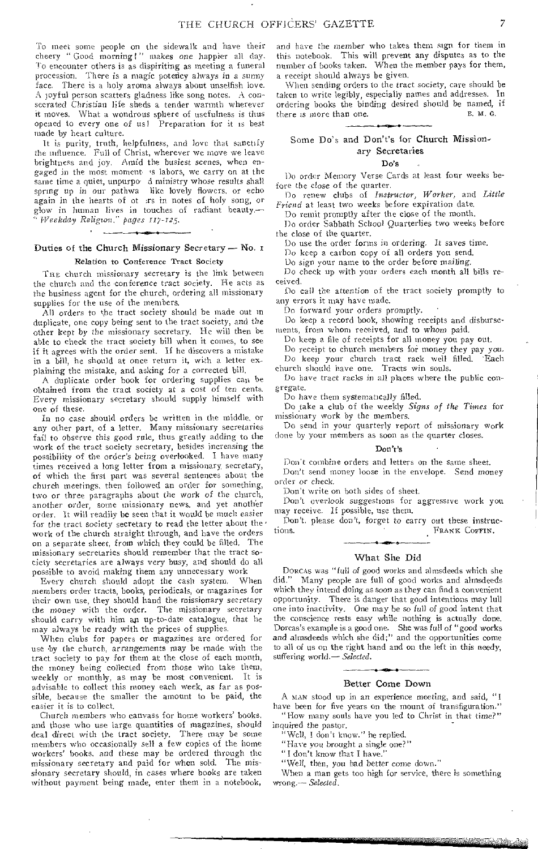To meet some people on the sidewalk and have their cheery " Good morning!" makes one happier all day. To encounter others is as dispiriting as meeting a funeral procession. There is a magic potency always *in* a sunny There is a holy aroma always about unselfish love. A joyful person scatters gladness like song notes. A consecrated Christian life sheds a tender warmth wherever it moves. What a wondrous sphere of usefulness is thus opened to every one of us! Preparation for it is best made by heart culture.

It is purity, truth, helpfulness, and love that sanctify the influence. Full of Christ, wherever we move we leave brightness and joy. Amid the busiest scenes, when engaged in the most moment 's labors, we carry on at the same time a quiet, unpurpo d ministry whose results shall spring up in our pathwa like lovely flowers, or echo again in the hearts of ot :rs in notes of holy song, or glow in human lives in touches of radiant beauty.— " *Weekday Religion,' pages 117-T25.* 

## Duties of the Church Missionary Secretary — No. Relation to Conference Tract Society

THE church missionary secretary is the link between the church and the conference tract society. He acts as the business agent for the church, ordering all missionary supplies for the use of the members.

All orders to the tract society should be made out in duplicate, one copy being sent to the tract society, and the other kept by the missionary secretary. He will then be able to check the tract society bill when it comes, to see if it agrees with the order sent. If he discovers a mistake in a bill, he should at once return it, with a letter explaining the mistake, and asking for a corrected bill.

A duplicate order hook for ordering supplies can be obtained from the tract society at a cost of ten cents. Every missionary secretary should supply himself with one of these.

In no case should orders be written in the middle, or any other part, of a letter. Many missionary secretaries fail to observe this good rule, thus greatly adding to the work of the tract society secretary, besides increasing the possibility of the order's being overlooked. I have many times received a long letter from a missionary secretary, of which the first part was several sentences about the church meetings, then followed an order for something, two or three paragraphs about the work of the church, another order, some missionary news, and yet another order. It will readily be seen that it would be much easier for the tract society secretary to read the letter about the work of the church straight through, and have the orders on a separate sheet, from which they could be filled, The missionary secretaries should remember that the tract society secretaries are always very busy, and should do all possible to avoid making them any unnecessary work

Every church should adopt the cash system. When members order tracts, books, periodicals, or magazines for their own use, they should hand the missionary secretary the *money* with the order. The missionary secretary should carry with him an up-to-date catalogue, that he may always be ready with the prices of supplies.

When clubs for papers or magazines are ordered for use 'by the church, arrangements may be made with the tract society to pay for them at the close of each month, the money being collected from those who take them, weekly or monthly, as may be most convenient. It is advisable to collect this money each week, as *far* as possible, because the smaller the amount to be paid, the easier it is to collect.

Church members who canvass for home workers' books, and those who use large quantities of magazines, should deal direct with the tract society. There may be some members who occasionally sell a few copies of the home workers' books, and these may be ordered through the missionary secretary and paid for when sold. The missionary secretary should, in cases where books are taken without payment being made, enter them in a notebook,

and have the member who takes them sign for them in this notebook. This will prevent any disputes as to the number of books taken. When the member pays for them, a receipt should always be given.

When sending orders to the tract society, care should be taken to write legibly, especially names and addresses. In ordering books the binding desired should be named, if<br>there is more than one. there is more than one.

## Some Do's and Don't's for Church Missionary Secretaries

#### Do's

Do order Memory Verse Cards at least four weeks before the close of the quarter.

Do renew clubs of *Instructor, Worker,* and *Little Friend* at least two weeks before expiration date.

Do remit promptly after the close of the month.

Do order Sabbath School Quarterlies two weeks before the close of the quarter.

Do use the order forms in ordering. It *saves* time.

Do keep a carbon copy of all orders you send.

Do sign your name to the order before mailing.

*Do* check up with your orders each month all bills received.

Do call the attention of the tract society promptly to any errors it may have made.

Do forward your orders promptly. •

Do keep a record book, showing receipts and disbursements, from whom received, and to whom paid.

Do keep a file of receipts for all money you pay out.

Do receipt to church members for money they pay you.<br>Do keep your church tract rack well filled. Each

Do keep your church tract rack well filled. Each church should have one. Tracts win souls.

Do have tract racks in all places where the public congregate.

Do have them systematically filled.

Do take a club of the weekly *Signs of the Times* for missionary work by the *members.* 

Do send in your quarterly report of missionary work done by your members as soon as the quarter closes.

#### Don't's

Don't combine orders and letters on the same sheet. Don't send money loose in the envelope. Send *money*  order or check.

Don't write on both sides of sheet.

Don't overlook suggestions for aggressive work you may receive. If possible, use them.

Don't, please don't, forget to carry out these instructions. FRANK COFFIN.

## What She Did

DORCAS was "full of good works and almsdeeds which she did." Many people are full of good works and almsdeeds which they intend doing as soon as they can find a convenient opportunity. There is danger that good intentions may lull one into inactivity, One may be so *full* of good intent that the conscience rests easy while nothing is actually done. Dorcas's example is a good one. She was full of "good works and almsdeeds which she did;" and the opportunities come to all of us on the right hand and on the left in this needy, suffering world.— *Selected.* 

## Better Come Down

A MAN stood up in an experience meeting, and said, "I have been for five years on the mount of transfiguration." "How many souls have you led to Christ in that *time?"* 

inquired the pastor. Well, I don't know." he replied.

"Have you brought a single one?"

"I don't know that I have."

"Well, then, you had better come down."

When a man gets too high for service, there is something wrong.-- *Selected.*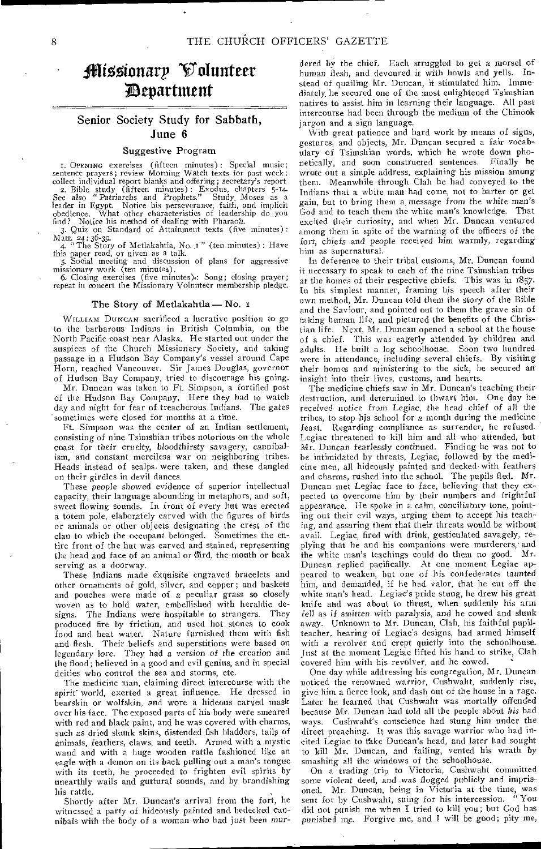# <sup>1</sup> <sup>0</sup> ; Mionarp Volunteer ;Department

## Senior Society Study for Sabbath, June 6

#### Suggestive Program

I. OPENING exercises (fifteen minutes) : Special music; sentence prayers; review Morning Watch texts for past week; collect individual report blanks and offering; secretary's report 2. Bible study (fifteen minutes) : Exodus, chapters 5-14 *See also* " Patriarchs and Prophets." Study\_ Moses as a leader in Egypt. Notice his perseverance, faith, and implicit obedience. What other characteristics of leadership do you

find? Notice his method of dealing with Pharaoh. 3. Quiz on Standard of Attainment texts (five minutes) :

Matt. 24:36-39.<br>
4. "The Story of Metlakahtla, No. 1" (ten minutes): Have<br>
this paper read, or given as a talk.<br>
5. Social meeting and discussion of plans for aggressive

missionary work (ten minutes). 6. Closing exercises (five minutes).: Song; closing prayer;

repeat in concert the Missionary Volunteer membership pledge.

## The Story of Metlakahtla - No. 1

WILLIAM DUNCAN sacrificed a lucrative position to go to the barbarous Indians in British Columbia, on the North Pacific coast near Alaska. He started out under the auspices of the Church Missionary Society, and taking passage in a Hudson Bay Company's vessel around Cape Horn, reached Vancouver. Sir James Douglas, governor of Hudson Bay Company, tried to discourage his going. Mr. Duncan was taken to Ft. Simpson, a fortified post

of the Hudson Bay Company. Here they had to watch day and night for fear of treacherous Indians. The gates sometimes were closed for months at a time.

Ft. Simpson was the center of an Indian settlement, consisting of nine Tsimshian tribes notorious on the whole coast for their cruelty, *bloodthirsty savagery,* cannibalism, and constant merciless war on neighboring tribes. Heads instead of scalps. were taken, and these dangled on their girdles in devil dances.

These people showed evidence of superior intellectual capacity, their language abounding in metaphors, and soft, sweet flowing sounds. In front of every hut was erected a totem pole, elaborately carved with the figures of birds or animals or other objects designating the crest of the clan to which the occupant belonged. Sometimes the entire front of the hut was carved and stained, representing the head and face of an animal or bird, the mouth or beak serving as a doorway.

These Indians made exquisite engraved bracelets and other ornaments of gold, silver, and copper; and baskets and pouches were made of a peculiar grass so closely woven as to hold water, embellished with heraldic de-<br>signs. The Indians were hospitable to strangers. They signs. The Indians were hospitable to strangers. produced fire by friction, and used hot stones to cook food and heat water. Nature furnished them with fish and flesh. Their beliefs and superstitions were based on legendary lore. They had a version of the creation and the flood; believed in a good and evil genius, and in special deities who control the sea and storms, etc.

The medicine man, claiming direct intercourse with the spirit world, exerted a great influence. He dressed in bearskin or wolfskin, and wore a hideous carved mask over his face. The exposed parts of his body were smeared with red and black paint, and he was covered with charms, such as dried skunk skins, distended fish bladders, tails of animals, feathers, claws, and teeth. Armed with a mystic wand and with a huge wooden rattle fashioned like an eagle with a demon on its back pulling out a man's tongue with its teeth, he proceeded to frighten evil spirits by unearthly wails and guttural sounds, and by brandishing his rattle.

Shortly after Mr. Duncan's arrival from the fort, he witnessed a party of hideously painted and bedecked cannibals with the body of a woman who had *just* been mur-

dered by the chief. Each struggled to get a morsel of human flesh, and devoured it with howls and yells. Instead of quailing Mr. Duncan, it stimulated him. Immediately, he secured one of the most enlightened Tsimshian natives to assist him in learning their language. All past intercourse had been through the medium of the Chinook jargon and a sign language.

With great patience and hard work by means of signs, gestures, and objects, Mr. Duncan secured a fair vocabulary of Tsimshian words, which he wrote down phonetically, and soon constructed sentences. Finally he wrote out a simple address, explaining his mission among them. Meanwhile through Clah he had conveyed to the Indians that a white man had come, not to barter or get gain, but to bring them a message from the white *man's*  God and to teach them the white man's knowledge. That excited their curiosity, and when Mr. Duncan ventured among them in spite of the warning of the officers of the fort, chiefs and people received him warmly, regarding him as supernatural.

In deference to their tribal customs, Mr. Duncan found it necessary to speak to each of the nine Tsimshian tribes at the homes of their respective chiefs. This was in 1857. In his simplest manner, framing his speech after their own method, Mr. Duncan told them the story of the Bible and the Saviour, and pointed out to them the grave sin of taking human life, and pictured the benefits of the Christian life. Next, Mr. Duncan opened a school at the house of a chief. This was eagerly attended by children and adults. He built a log schoolhouse. Soon two hundred were in attendance, including several chiefs. By visiting their homes and ministering to the sick, he secured an insight into their lives, customs, and hearts.

The medicine chiefs saw in Mr. Duncan's teaching their destruction, and determined to thwart him. One day he received notice from Legiac, the head *chief of* all the tribes, to stop his school for a month during the medicine feast. Regarding compliance as surrender, he refused. Legiac threatened to kill him and all who attended, but Mr. Duncan fearlessly continued. Finding he was not to be intimidated by threats, Legiac, followed by the medicine men, all hideously painted and decked-with feathers and charms, rushed into the school. The pupils fled. Mr. Duncan met Legiac face to face, believing that they expected to overcome him by their numbers and frightful appearance. He spoke in a calm, conciliatory tone, pointing out their evil ways, urging them to accept his teaching, and assuring them that their threats would be without avail. Legiac, fired with drink, gesticulated savagely, replying that he and his companions were murderers,• and the white man's teachings could do them no good. Mr. Duncan replied pacifically. At one moment Legiac appeared to weaken, but one of his confederates *taunted*  him, and demanded, if he had valor, that he cut off the white man's head. Legiac's pride stung, he drew his great knife and was about to thrust, when suddenly his arm fell as *if smitten* with paralysis, and he cowed and slunk away. Unknown to Mr. Duncan, Clah, his faithful pupilteacher, hearing of Legiac's designs, had armed himself with a revolver and crept quietly into the schoolhouse. Just at the moment Legiac lifted his hand to strike, Clah covered him with his revolver, and he cowed.

One day while addressing his congregation, Mr. Duncan noticed the renowned warrior, Cushwaht, suddenly rise, give him a fierce look, and dash out of the house in a rage. Later he learned that Cushwaht was mortally offended because Mr. Duncan had told all the people about *his* bad ways. Cushwaht's conscience had stung him under the direct preaching. It was this savage warrior who had incited Legiac to take Duncan's head, and later had sought to kill Mr. Duncan, and failing, vented his wrath by smashing all the windows of the schoolhouse.

On a trading trip to Victoria, Cushwaht committed some violent deed, and was *flogged* publicly and imprisoned. Mr. Duncan, being in Victoria at the time, was sent for by Cushwaht, suing for his intercession. did not punish me when I tried to kill you; but God has punished inp. Forgive me, and I will be good; pity me,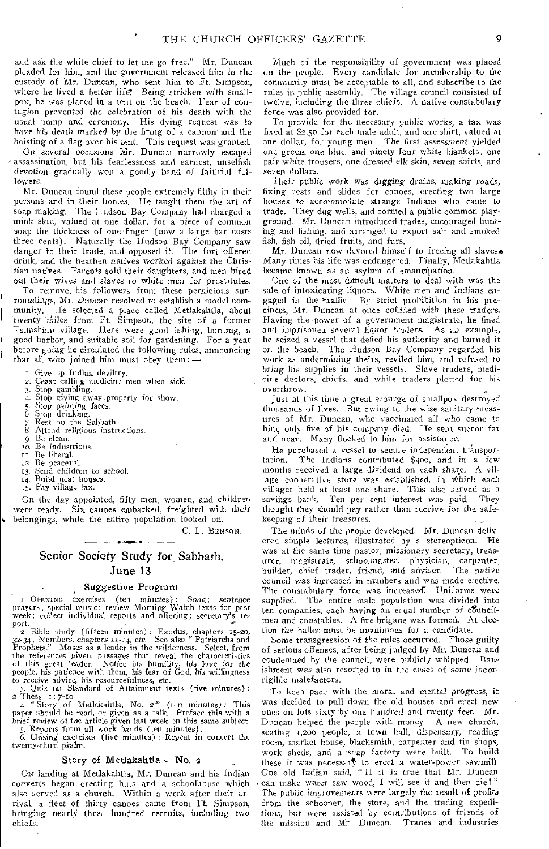and ask the white chief to let me go free." Mr. Duncan pleaded for him, and the government released him in the custody of Mr. Duncan, who sent him to Ft. Simpson, where he lived a better life. Being *stricken* with smallpox, he was placed in a tent on the beach. Fear of contagion prevented the celebration of his death with the usual pomp and ceremony, His dying request was to have his death marked by the firing of a cannon and the hoisting of a flag over his tent. This request was granted.

On several occasions Mr. Duncan narrowly escaped assassination, but his fearlessness and earnest, unselfish devotion gradually won a goodly band of faithful followers.

Mr. Duncan found these people extremely filthy in their persons and in their homes. He taught them the art of soap making. The Hudson Bay Company had charged a mink skin, valued at one dollar, for a piece of common soap the thickness of one 'finger (now a large bar costs three cents). Naturally the Hudson Bay Company saw danger to their trade, and opposed it. The fort offered drink, and the heathen natives worked *against* the Christian natives. Parents sold their daughters, and men hired out their wives and *slaves to* white men for prostitutes.

To remove, his followers from these pernicious surroundings, Mr. Duncan resolved to establish a model community. He selected a place called Metlakahtla, about 'twenty 'miles from Ft. Simpson, the site of a former Tsimshian village. Here were good fishing, hunting, a good harbor, and suitable soil for gardening. For a year before going he circulated the following rules, announcing that all who joined him must obey them: —

I. Give up Indian deviltry.

- 2. Cease calling medicine men when sick.
- 3. Stop gambling.
- 4. Stop giving away property for show.
- *5. Stop* painting faces. 6 Stop drinking.
- 
- 7 Rest on the Sabbath.
- 7 Rest on the Sabbath.<br>8 Attend religious instructions.<br>9 Be clean.
- 
- 9 Be clean.<br>10. Be indus Be industrious.
- II Be liberal.
- 52 Be peaceful.
- 13. Send children *to* school. 14. Build neat houses,
- 14. Build neat hous<br>15. Pay village tax.

On the day appointed, fifty men, women, and children were ready. Six canoes embarked, freighted with their • belongings, while the entire population looked on.

C. L. BENSON.

## Senior Society Study for Sabbath, June 13

## Suggestive Program

I. ODENING exercises (ten minutes): *Song;* sentence Prayers; special music; review Morning Watch texts for past week; collect individual reports and offering; secretary's re-

port. • *0'*  2. Bible study (fifteen minutes) : Exodus, chapters 15-20, 32-34, Numbers, chapters 11-14, etc. See also " Patriarchs and Prophets." Moses as a leader in the wilderness. Select, from the references given, passages that reveal the characteristics of this great leader. Notice his humility, his love *for* the People, his patience with them, his fear of God, his willingness to *receive* advice, his resourcefulness, etc.

3. Quiz on Standard of Attainment texts (five minutes) :  $\frac{3.0012 \text{ cm}}{2.7 \text{ h}} \times \frac{3.0012 \text{ cm}}{2.7 \text{ m}}$ 

4 " Story of Metlakahtla, No. *2"* (ten minutes) : This paper should be read, or given as a talk. Preface this with a brief review of the article given last week on this same subject. 5. Reports from all work bands (ten minutes).

6. Closing exercises (five minutes) : Repeat in concert the twenty-third pSalm.

#### Story of Metlakahtla — No. 2

ON landing at Metlakahtla, Mr. Duncan and his Indian converts began erecting huts and a schoolhouse which also served as a church. Within a week after their arrival, a fleet of thirty canoes came from Ft. Simpson, bringing nearly three hundred recruits, including two chiefs.

Much of the responsibility of government was placed on the people. Every candidate for membership to the community must be acceptable to all, and subscribe to the rules in public assembly. The village council consisted of twelve, including the three chiefs. A native constabulary force was also provided for.

To provide for the necessary public works, a tax was fixed at \$2.50 for each male adult, and one shirt, valued at one dollar, for young men. The first assessment yielded one green, one blue, and ninety-four white blankets; one pair white trousers, one dressed elk skin, seven shirts, and seven dollars.

Their public work was *digging* drains, making roads, fixing rests and slides for canoes, erecting two large houses to accommodate strange Indians who came to trade. They dug wells, and formed a public common playground. Mr. Duncan introduced trades, encouraged hunting and fishing, and arranged to export salt and smoked fish, fish oil, dried fruits, and furs.

Mr. Duncan now devoted himself to freeing all slaves. Many times his life was endangered. Finally, Metlakahtla became known as an asylum of emancipation.

One of the most difficult matters to deal with was the sale of intoxicating liquors. White men and Indians engaged in the 'traffic. By strict prohibition in his precincts, Mr. Duncan at once collided with these traders. Having the .power of a government magistrate, he fined and imprisoned several liquor traders. As an example, he seized a vessel that defied his authority and burned it on the beach. The Hudson Bay Company regarded his work as undermining theirs, reviled him, and refused to *bring* his supplies in their vessels. Slave traders, medicine doctors, chiefs, and white traders plotted for his overthrow.

Just at this time a great scourge of smallpox destroyed thousands of lives. But owing to the wise sanitary measures of Mr. Duncan, who vaccinated all who came to him, only five of his company died. He sent succor far and near. Many flocked to him for assistance.

He purchased a vessel to secure independent transpor-<br>tation. The Indians contributed \$400, and in a few The Indians contributed \$400, and in a few months received a large dividend on each share. A village cooperative store was established, in which each villager held at least one share. This also served as a savings bank. Ten per cent interest was paid. thought they should pay rather than receive for the safekeeping of their treasures.

The minds of the people developed. Mr. Duncan delivered simple lectures, illustrated by a stereopticon. He was at the same time pastor, missionary secretary, treasurer, magistrate, schoolmaster, physician, carpenter, builder, chief trader, friend, and adviser. The native council was ingreased in numbers and was made elective. The constabulary force was increased. Uniforms were supplied. The entire male population was divided into ten companies, each having an equal number of councilmen and constables. A fire brigade was formed. At election the ballot must be unanimous for a candidate.

Some transgression of the rules occurred. Those guilty of serious offenses, after being judged by Mr. Duncan and condemned by the council, were publicly whipped. Banishment was also resorted to in the cases of some incorrigible malefactors.

To keep pace with the moral and mental progress, it was decided to pull down the old houses and erect new ones on lots sixty by one hundred and twenty feet. Mr. Duncan helped the people with money. A new church, seating 1,200 people, a town hall, dispensary, reading room, market house, blacksmith, carpenter and tin shops, work sheds, and a -soap factory were built. To build these it was necessary to erect a water-power sawmill. One old Indian said, "If it is true that Mr. Duncan can make water saw wood, I will see it and then die!" The public improvements were largely the result of profits from the schooner, the store, and the trading expeditions, but were assisted by contributions of friends of the mission and Mr. Duncan. Trades and industries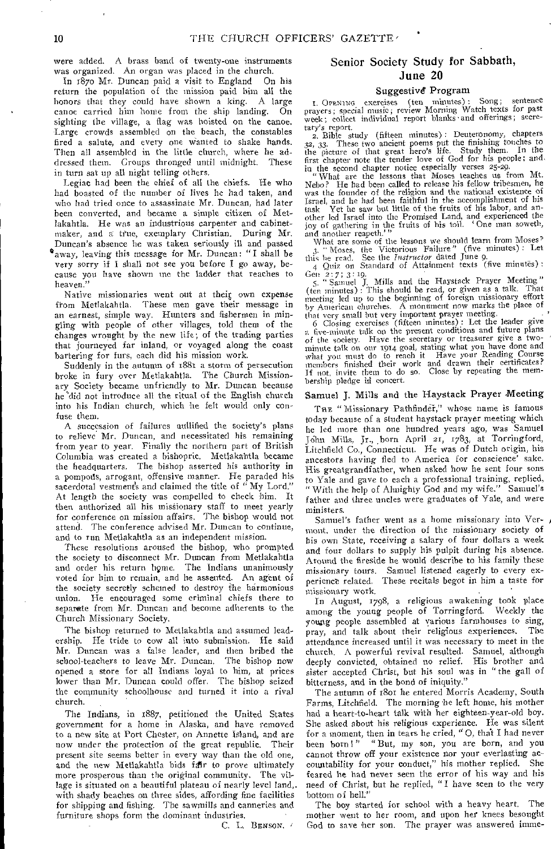were added. A brass band of twenty-one instruments was organized. An organ was placed in the church.

In 1870 Mr. Duncan paid a visit to England On his return the population of the mission paid him all the honors that they could have shown a king. A large canoe carried him home from the ship landing. On sighting the village, a flag was hoisted on the canoe. Large crowds assembled on the beach, the constables fired a salute, and every one wanted to shake hands. Then all assembled in the little church, where he addressed them. Groups thronged until midnight. These in turn sat up all night telling others.

Legiac had been the chief of all the chiefs. He who had boasted of the number of lives he had taken, and who had tried once to assassinate Mr. Duncan, had later been converted, and became a simple citizen of Metlakahtla. He was an industrious carpenter and cabinetmaker, and a true, exemplary Christian. During Mr. Duncan's absence he was taken seriously ill and passed °away, leaving this message for Mr. Duncan: "I shall be very sorry if I shall not see you before I *go* away, because you have shown me the ladder that reaches to heaven."

Native missionaries went out at their own expense from Metlakahtla. These men gave their message in an earnest, simple way. Hunters and fishermen in mingling with people of other villages, told them of the changes wrought by the new life; of the trading parties that journeyed far inland, or voyaged along the coast bartering for furs, each did his mission work.

Suddenly in the autumn of 1881 a storm of persecution broke in fury over Metlakahtla. The Church Missionary Society became unfriendly to Mr. Duncan because he'did not introduce all the ritual of the English church into his Indian church, which he felt would only confuse them,

A succession of failures nullified the society's plans to relieve Mr. Duncan, and necessitated his remaining from year to year. Finally the northern part of British Columbia was created a bishopric. Metlakahtla became the headquarters. The bishop asserted his authority in a pompods, arrogant, offensive manner. He paraded his sacerdotal vestments and claimed the title of  $\lq$  My Lord." At length the society was compelled to check 'him. It then authorized all his missionary staff to meet yearly for conference on mission affairs. The bishop would not attend. The conference advised Mr. Duncan to continue, and to run Metlakahtla as an independent mission.

These resolutions aroused the bishop, who prompted the society to disconnect Mr. Duncan from Metlakahtla and order his return home. The Indians unanimously voted for him to remain, and he assented. An agent of the society secretly schemed to destroy the harmonious union. He encouraged some criminal chiefs there to separate from Mr. Duncan and become adherents to the Church Missionary Society.

The bishop returned to Metlakahtla and assumed leadership. He tride to cow all into submission. He said Mr. Duncan was a false leader, and then bribed the school-teachers to leave Mr. Duncan. The bishop now opened a store for all Indians loyal to him, at prices lower than Mr. Duncan could offer. The bishop seized the community schoolhouse and turned it into a rival church.

The Indians, in 1887, petitioned the United States government for a home in Alaska, and have removed to a new site at Port Chester, on Annette Island, and are now under the protection of the great republic. Their present site seems better in every way than the old one, and the new Metlakahtla bids fair to prove ultimately more prosperous than the original community. The village is situated on a beautiful plateau of nearly level land,. with shady beaches on three sides, affording fine facilities for shipping and fishing. The sawmills and canneries and furniture shops form the dominant industries.

C. L. BENSON, '

## Senior Society Study for Sabbath, June 20

## Suggestive Program

I. OPENING exercises (ten minutes): Song; sentence prayers; special music; review Morning Watch texts for past week; collect individual report blanks • and offerings; secretary's report.

2. Bible study (fifteen minutes) : Deuteronomy, chapters 32, 33. These two ancient poems put the finishing touches to the picture of that great hero's life. Study them. In the first chapter note the tender love of God for his people; and

in the second chapter notice especially verses 25-29. " What are the lessons that Moses teaches us from Mt. Nebo? He had been called to release his fellow tribesmen, he was the founder of the religion and the national existence of Israel, and he had been faithful in the accomplishment of his task Yet he saw but little of the fruits of his labor, and another led Israel into the Promised Land, and experienced the joy of gathering in the fruits of his toil. One man soweth, and another reapeth.'"

What are some of the lessons we should learn from Moses?<br>3. "Moses, the Victorious Failure" (five minutes): Let<br>this be read. See the *Instructor* dated June 9.<br>4 Quiz on Standard of Attainment texts (five minutes):

Gen 2: 7; 3: 19.<br>5. "Samuel J. Mills and the Haystack Prayer Meeting." (ten minutes) : This should be read, or given as a talk. That meeting led up to the beginning of foreign missionary effort by American churches. A monument now marks the place of

that very small but very important prayer meeting. 6 Closing exercises (fifteen minutes) : Let the leader give a five-minute talk on the present conditions and future plans of the society. Have the secretary or treasurer give a twominute talk on our 1914 goal, stating what you have done and what you must do to reach it Have your Reading Course members finished their work and drawn their certificates? If not, invite them to do so. Close by repeating the membership pledge in concert.

## Samuel J. Mills and the Haystack Prayer Meeting

THE "Missionary Pathfinder," whose name is famous today because of a student haystack prayer meeting which he led more than one hundred years ago, was Samuel John Mills. Jr., .born April 21, 1783, at Torringford, Litchfield Co., Connecticut. He was of Dutch origin, his ancestors having fled to America for conscience' sake. His greatgrandfather, when asked how he sent four sons to Yale and gave to each a professional training, replied, " With the help of Almighty God and my wife." Samuel's father and three uncles were graduates of Yale, and were ministers.

Samuel's father went as a home missionary into Vermont, under the direction of the missionary society of his own State, receiving a salary of four dollars a week and four dollars to supply his pulpit during his absence. Around the fireside he would describe to his family these missionary tours. Samuel listened eagerly to every experience related. These recitals begot in him a taste for missionary work.

In August, 1798, a religious awakening took place among the young people of Torringford. Weekly the young people assembled at various farmhouses to sing, pray, and talk about their religious experiences. attendance increased until it was necessary to meet in the church. A powerful revival resulted. Samuel, although deeply convicted, obtained no relief. His brother and sister accepted Christ, but his soul was in "the gall of bitterness, and in the bond of iniquity."

The autumn of 18or he entered Morris Academy, South Farms, Litchfield. The morning he left home, his mother had a heart-to-heart talk with her eighteen-year-old boy. She asked about his religious experience. He was silent for a moment, then in tears he cried, "O, that I had never been born!" "But, my son, you are born, and you cannot throw off your existence nor your everlasting accountability for your conduct," his mother replied. She feared he had never seen the error of his way and his need of Christ, but he replied, "I have seen to the very bottom of hell."

The boy started for school with a heavy heart. The mother went to her room, and upon her knees besought God to save her son. The prayer was answered imme-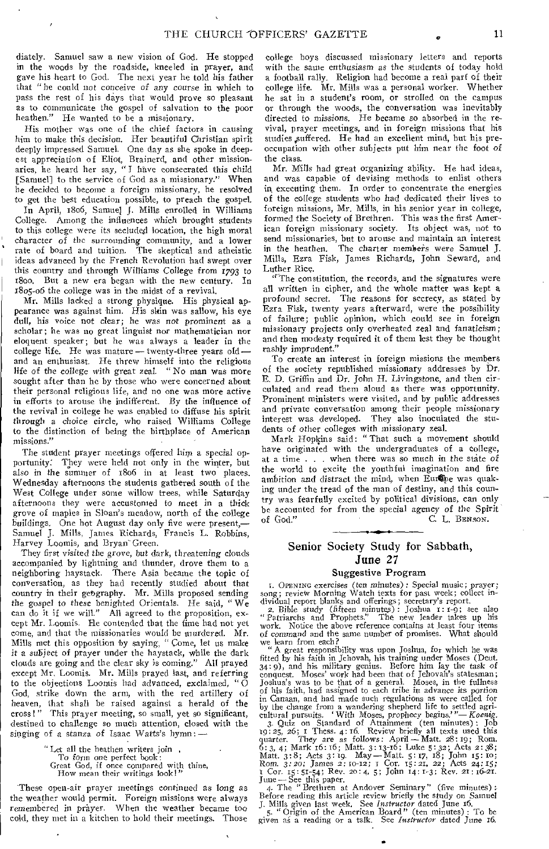diately. Samuel saw a new vision of God. He stopped in the woods by the roadside, kneeled in prayer, and gave his heart to God. The next year he told his father that "he could not conceive *of* any course in which to pass the rest of his days that would prove so pleasant as to communicate the gospel of salvation to the poor heathen." He wanted to be a missionary.

His mother was one of the chief factors in causing him to make this decision. Her beautiful Christian spirit deeply impressed Samuel. One day as she spoke in deepest appreciation of Eliot, Brainerd, and other missionaries, he heard her say, "I have consecrated this child [Samuel] to the service of God as a missionary." When he decided to become a foreign missionary, he resolved to get the best education possible, to preach the gospel.

In April, 18o6, Samuel J. Mills enrolled in Williams College. Among the influences which brought students to this college were its secluded location, the high moral character of the surrounding community, and a lower rate of board and tuition. The skeptical and atheistic ideas advanced by the French Revolution had swept over this country and through Williams College from 1793 to 1800. But a new era began with the new century. In 18o5-o6 the college was in the midst of a revival.

Mr. Mills lacked a strong physique. His physical appearance was against him. His skin was sallow, his eye dull, his voice not clear; he was not prominent as a scholar; he was no great linguist nor mathematician nor eloquent speaker; but he was always a leader in the college life. He was mature — twenty-three years old and an enthusiast. He threw himself into the religious life of the college with great zeal. "No man was more sought after than he by those who were concerned about their personal religious life, and no one was more active in efforts to arouse the indifferent. By the influence of the revival in college he was enabled to diffuse his spirit through a choice circle, who raised Williams College to the distinction of being the birthplace of American missions."

The student prayer meetings offered him a special opportunity: They were held not only in the winter, but also in the summer of 18o6 in at least two places. Wednesday afternoons the students gathered south of the West College under some willow trees, while Saturday afternoons they were accustomed to meet in a thick grove of maples in Sloan's meadow, north of the college buildings. One hot August day only five were present,— Samuel J. Mills, James Richards, Francis L. Robbins, Harvey Loomis, and Bryan-Green.

They first visited the grove, but dark, threatening clouds accompanied by lightning and thunder, drove them to a neighboring haystack. There Asia became the topic of conversation, as they had recently studied about that country in their geography. Mr. Mills proposed sending the gospel *to* these benighted Orientals. He said, "We can do it if we will." All agreed to the proposition, except Mr. Loomis. He contended that the time had not yet come, and that the missionaries would be murdered. Mr. Mills met this opposition by saying, " Come, let us make it a subject of prayer under the haystack, while the dark clouds are going and the clear sky is coming." All prayed except Mr. Loomis. Mr. Mills prayed last, and referring to the objections Loomis had advanced, exclaimed, " $\dot{O}$ God, strike down the arm, with the red artillery of heaven, that shall be raised against a herald of the cross!" This prayer meeting, so small, yet so significant, destined to challenge so much attention, closed with the singing of a stanza of Isaac Watts's hymn:—

" Let all the heathen writers join ,

To form one perfect book:

Great God, if once compared with thine, How mean their writings look!"

-These open-air prayer meetings continued *as* long as the weather would permit. Foreign missions were always remembered in prayer. When the weather became too cold, they met in a kitchen to hold their meetings. Those cold, they met in a kitchen to hold their meetings.

college boys discussed missionary letters and reports with the same enthusiasm as the students of today hold a football rally. Religion had become a real part of their college life. Mr. Mills was a personal worker. Whether he sat in a student's room, or strolled on the campus or through the woods, the conversation was inevitably directed to *missions.* He became so absorbed in the revival, prayer meetings, and in foreign missions that his studies ,suffered. He had an excellent mind, but his preoccupation with other subjects put him near the foot of the class.

Mr. Mills had great organizing ability. He had ideas, and was capable of devising methods to enlist others in executing them. In order to concentrate the energies of the college students who had dedicated their lives to foreign missions, Mr. Mills, in his senior year in college, formed the Society of Brethren. This was the first American foreign missionary society. Its object was, not to send missionaries, but to arouse and maintain an interest<br>in the heathen. The charter members were Samuel J. The charter members were Samuel J. Mills, Ezra Fisk, James Richards, John Seward, and Luther Rice.

"The constitution, the records, and the signatures were all written in cipher, and the whole matter was kept a profound *secret.* The reasons for secrecy, as stated by Ezra Fisk, twenty years afterward, were the possibility of failure; public opinion, which could see in foreign missionary projects only overheated zeal and *fanaticism;*  and then modesty required it of them lest they be thought rashly imprudent."

To create an interest in foreign missions the members of the society republished missionary addresses by Dr. E. D. Griffin and Dr. John H. Livingstone, and then circulated and read them aloud as there was opportunity. Prominent ministers were visited, and by public addresses and private conversation among their people missionary interest was developed. They also inoculated the students of other colleges with missionary zeal.

Mark Hopkins said: "That such a movement should have originated with the undergraduates of a college, at a time . . . when there was so much in the *state* of the world to excite the youthful imagination and fire ambition and distract the mind, when Europe was quaking under the tread of the man of destiny, and this country was fearfully excited by political divisions, can only be accounted for from the special agency of the Spirit of God." C. L. BENSON. C. L. BENSON.

## Senior Society Study for Sabbath, June 27

## Suggestive Program

I. OPENING exercises (ten minutes): Special music; prayer;<br>song; review Morning Watch texts for past week; collect in-

dividual report blanks and offerings; secretary's report. 2. Bible *study (fifteen* minutes) : Joshua I: 1-9; see also "Patriarchs and Prophets." The new leader takes up his work. Notice the above reference contains at least four items<br>of command and the same number of promises. What should of command and the same number of promises.

we learn from each? "A great responsibility was upon Joshua, for which he was fitted by his faith in Jehovah, his training under Moses (Dent. 34: 9), and his military genius. Before him lay the task of conquest. Moses' work had been that of Jehovah's statesman; Joshua's was to be that of a general. Moses, in the fullness of his faith, had assigned to each tribe in advance *its* portion in Canaan, and had made such regulations as were called for

by the change from a wandering shepherd life to settled agricultural pursuits. 'With Moses, prophecy begins.'"— Koenig.<br>3. Quiz on Standard of Attainment (ten minutes): Job 19:25, 26; I Thess. 4:16. Review briefly all text quarter. They are as follows: April -- Matt. 28:19; Rom.<br>6:3, 4; Mark 16:16; Matt. 3:13-16; Luke 5:32; Acts 2:38; Matt. 3:8; Acts 3:19. May -- Matt. 5:17, 18; John 15:10;<br>Rom. 3:20; James 2:10-12; 1 Cor. 15:21, 22; Acts 24 Cor. 15:51-54; Rev. 20:4, 5; John 14:1-3; Rev. 2I : 16-21.

June—See this paper. 4. The "Brethren at Andover Seminary" (five minutes) : Before reading this article review briefly the study on Sanuel<br>J. Mills given last week. See Instructor dated June 16.<br>5. "Origin of the American Board" (ten minutes): To be<br>given as a reading or a talk. See Instructor dat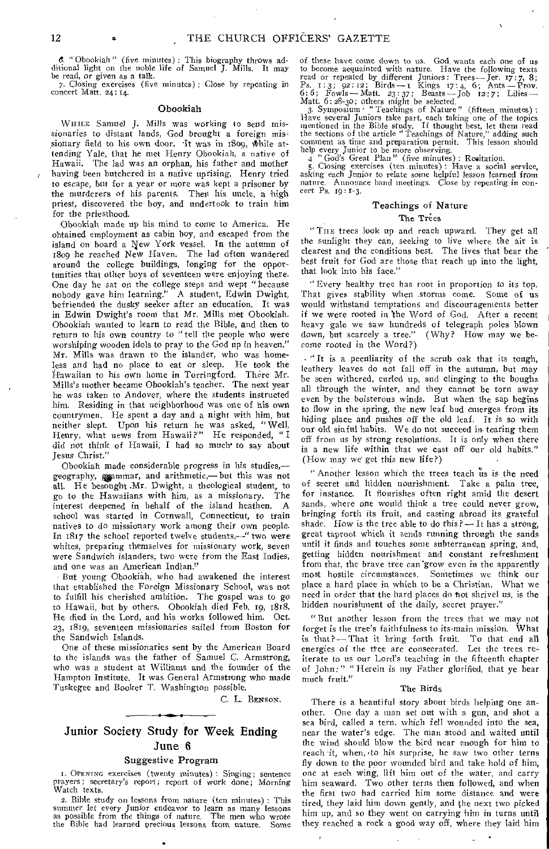6. " Obookiah " (five minutes) : This biography throws additional light on the noble life of Samuel J. Mills. It may be read, or given as a talk.

7. Closing exercises (five minutes) : Close by repeating in concert Matt. 24 : 14.

#### Obookiah

WHILE Samuel J. Mills was working to send missionaries to distant lands, God brought a foreign missionary field to his own door. It was in 1809, while attending Yale, that he met Henry Obookiah, a native of Hawaii. The lad was an orphan, his father and mother having been butchered in a native uprising. Henry tried to escape, but for a year or more was kept a prisoner by the murderers of his parents. Then his uncle, a high priest, discovered the boy, and undertook to train him for the priesthood.

Obookiah made up his mind to come to America, He obtained employment as cabin boy, and escaped from the island on board a New York vessel. In the autumn of 1809 he reached New Haven. The lad often wandered around the college buildings, longing for the opportunities that other boys of seventeen were enjoying there. One day he sat on the college steps and wept " because nobody gave him learning." A student, Edwin Dwight, befriended the dusky seeker after an education. It was in Edwin Dwight's room that Mr. Mills met Obookiah. Obookiah wanted to learn to read the Bible, and then to return to his own country to "tell the people who were worshiping wooden idols to pray to the God up in heaven." Mr. Mills was drawn to the islander, who was homeless and had no place to eat or sleep. He took the Hawaiian to his own home in Torringford. There Mr. Mills's mother became Obookiah's teacher. The next year he was taken to Andover, where the students instructed him. Residing in that neighborhood was one of his own countrymen. He spent a day and a night with him, but neither slept. Upon his return he was asked, "Well, Henry, what news from Hawaii?" He responded, "I did not think of Hawaii, I had so much• to say about Jesus Christ."

Obookiah made considerable progress in his studies, geography, syammar, and arithmetic,- but this was not all. He besought .Mr. Dwight, a theological student, to go to the Hawaiians with him, as a missionary. The interest deepened in behalf of the island heathen. A school was started in Cornwall, Connecticut, to train natives to do missionary work among their own people. In 1817 the school reported twelve students,—" two were whites, preparing themselves for missionary work, seven were Sandwich islanders, two were from the East Indies, and one was an American Indian."

But young Obookiah, who had awakened the interest that established the Foreign Missionary School, was not to fulfill his cherished ambition. The gospel was to go to Hawaii, but by others. Obookiah died Feb. 19, 1818. He died in the Lord, and his works followed him. Oct. 23, 1819, seventeen missionaries sailed from Boston for the Sandwich Islands.

One of these missionaries sent by the American Board to the islands was the father of Samuel C. Armstrong, who was a student at Williams and the founder of the Hampton Institute. It was General Armstrong who made Tuskegee and Booker T. Washington possible.

C. L. BENSON.

## Junior Society Study for Week Ending June 6

## Suggestive Program

I. OPENING exercises (twenty minutes) : Singing; sentence prayers; secretary's report; report of work done; Morning Watch texts.

2. Bible study on lessons from nature (ten minutes) : This summer let every Junior endeavor to learn as many lessons as possible from the things of nature. The men who wrote the Bible had learned precious lessons from nature. Some

of these have come down to us. God, wants each one of us to become acquainted with nature. Have the following texts read or repeated by different Juniors: Trees— Jer. 17:7, 8; Ps. 1:3; 92: 12 ; Birds-1 Kings 17:4, 6; Ants—Prow. 6:6; Fowls - Matt.  $23:37$ ; Beasts - Job 12:7; Lilies -Matt. 6:28-30; others might be selected.

3. Symposium • "Teachings of Nature" (fifteen minutes) : Have several Juniors take part, each taking one of the topics mentioned in the Bible study. If thought best, let them read the sections of the article "Teachings of Nature," adding such comment as time and preparation permit. This lesson should help every Junior to be more observing.

4 "God's Great Plan" (five minutes) : Recitation.<br>5. Closing exercises (ten minutes) : Have a social service, asking each Junior to relate some helpful lesson learned from nature. Announce band meetings. Close by repeating in concert Ps. 19: 1-3.

## Teachings of Nature

## The Trees

"THE trees look up and reach upward. They get all the sunlight they can, seeking to live where the air is clearest and the conditions best. The lives that bear the best fruit for God are those that reach up into the light, that look into his face."

" Every healthy tree has root in proportion to its top. That gives stability when :storms come. Some of us would withstand temptations and discouragements better if we were rooted in the Word of God. After a recent heavy gale we saw hundreds of telegraph poles blown down, but scarcely a tree." (Why? How may we become rooted in the Word?)

• "It is a peculiarity of the scrub oak that its tough, leathery leaves do not fall off in the autumn, but may be seen withered, curled up, and clinging to the boughs all through the winter, and they cannot be torn away even by the boisterous winds. But when the sap begins to flow in the spring, the new leaf bud emerges from its hiding place and pushes off the old leaf. It is so with our old sinful habits. We do not succeed in- tearing them off from us by strong resolutions. It is only when there is a new life within that we cast off our old habits." (How may we' get this new life?)

" Another lesson which the trees teach us is the need of secret and hidden nourishment. Take a palm tree, for instance. It flourishes often right amid the desert sands, where one would think a tree could never grow, bringing forth its fruit, and casting abroad its grateful shade. How is the tree able to do this?  $-$  It has a strong, great taproot which it sends running through the sands until it finds and touches some subterranean spring, and, getting hidden nourishment and constant refreshment from that, the brave tree can 'grow even in the apparently most hostile circumstances. Sometimes we think our place a hard place in which to be a Christian. What we need in order that the hard places do not shrivel us, is the hidden nourishment of the daily, secret prayer."

"But another lesson from the trees that we may not forget is the tree's faithfulness to its main mission. What is that? — That it bring forth fruit. To that end all energies of the tree are consecrated. Let the trees reiterate to us our Lord's teaching in the fifteenth chapter of John: " " Herein is my Father glorified, that ye bear much fruit."

#### The Birds

There is a beautiful story about birds helping one another. One day a man set out with a gun, and shot a sea bird, called a tern, which fell wounded into the sea, near the water's edge. The man stood and waited until the wind should blow the bird near enough for him to reach it, when, to his surprise, he saw two other terns fly down to the poor wounded bird and take hold of him, one at each wing, lift him out of the water, and carry him seaward. Two other terns then followed, and when the first two had carried him some distance and were tired, they laid him down gently, and the next two picked him up, and so they went on carrying him in turns until they reached a rock a good way off, where they laid him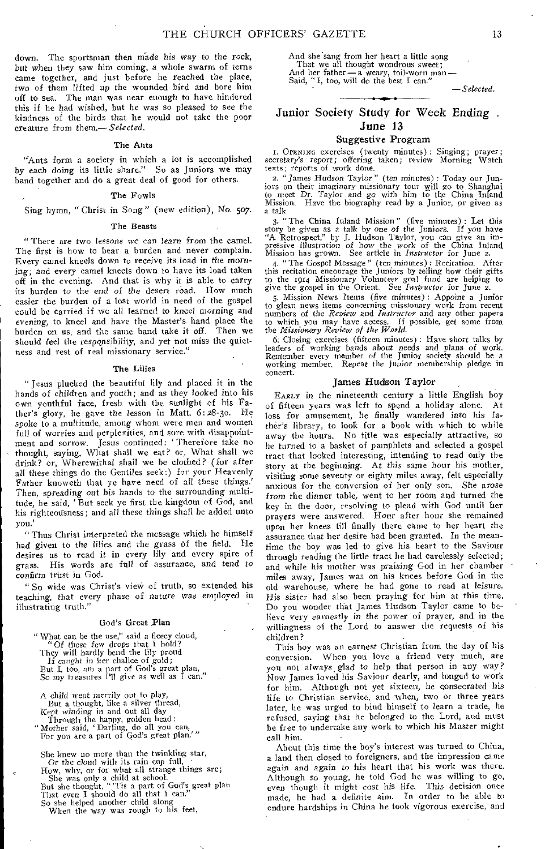down. The sportsman then made his way to the rock, but when they saw him coming, a whole swarm of terns came together, and just before he reached the place, two of them lifted up the wounded bird and bore him off to sea. The man was near enough to have hindered this if he had wished, but be was so pleased to see the kindness of the birds that he would not take the poor creature from them.— *Selected.* 

## The Ants

"Ants form a society in which a lot is accomplished by each doing its little share." So as Juniors we may band together and do a great deal of good for others.

#### The Fowls

## Sing hymn, "Christ in Song" (new edition), No. 507.

#### The Beasts

"There are two lessons we can learn from the camel. The first is how to bear a burden and never complain. Every camel kneels down to receive its load in the morning; and every camel kneels down to have its load taken off in the evening. And that is why it is able to carry its burden to the *end* of the desert road. How much easier the burden of a lost world in need of the gospel could be carried if we all learned to kneel *morning* and evening, to kneel and have the Master's hand place the burden on us, and the same hand take it off. Then we should feel the responsibility, and yet not miss the quietness and rest of real missionary service.'

#### The Lilies

" Jesus plucked the beautiful lily and placed it in the hands of children and youth; and as they looked into his own youthful face, fresh with the sunlight of his Father's glory, he gave the lesson in Matt. 6:28-3o. He spoke to a multitude, among whom were men and women full of worries and perplexities, and sore with disappointment and sorrow. Jesus continued; Therefore take no thought, saying, What shall we eat? or, What shall we drink? or, Wherewithal shall we be clothed? (for after all these things do the Gentiles seek:) for your Heavenly Father knoweth that ye have need of all these things.' Then, spreading *out* his hands to the surrounding multitude, he said, ' But seek ye first the kingdom of God, and his righteousness; and all these things shall be added unto you.'

"Thus Christ interpreted the message which he himself had given to the lilies and the grass of the field. He desires us to read it in every lily and every spire of grass. His words are full of assurance, and tend to confirm trust in God.

" So wide was Christ's view of truth, so extended his teaching, that every phase of nature was employed in illustrating truth."

#### God's Great Plan

" What can be the use," said a fleecy cloud, " $O_4$  these for drops that  $\overline{1}$  both?" "Of these few drops that I hold? They will hardly bend the lily proud If *caught* in her chalice of gold; But I, too, am a part of God's great plan, So my treasures I'll give as well as I can."

A child went merrily out to play, But a thought, like a silver thread, Kept *winding* in and out all day

Through the happy, golden head: "Mother said, 'Darling, do all you can,

For you are a part of God's great plan.'"

She knew no more than the twinkling star, Or the *cloud* with its rain cup full, • How, why, or for what all strange things are; She was only a child at school. But she thought, "'Tis a part of God's great plan

That even I should do all that I can."

So she helped another child along When the way was rough to his feet,

And she'sang from her heart a little song That we all thought wondrous sweet; And her father — a weary, toil-worn man — Said, "I, too, will do the best I can."

*—Selected.* 

## Junior Society Study for Week Ending . June 13

## Suggestive Program

I. OPENING exercises (twenty minutes) : Singing; prayer; secretary's report; offering taken; review Morning Watch texts; reports of work done.

2. "James *Hudson* Taylor" (ten minutes): Today our Juniors on their imaginary missionary tour will go to Shanghai to meet Dr. Taylor and *go* with him to the China Inland Mission, Have the biography read by a Junior, or given as a talk

3. "The China Inland Mission" (five minutes) : Let this story be given as a talk by one of the Juniors. If you have "A Retrospect," by J. Hudson Taylor, you can give an impressive illustration of how the work of the China Inland Mission has grown. See article in *Instructor* fo

4. "The Gospel Message" (ten minutes): Recitation. After<br>this recitation encourage the Juniors by telling how their gifts<br>to the 1914 Missionary Volunteer goal fund are helping to<br>give the gospel in the Orient. See *Instru* 

5. Mission News Items (five minutes) : Appoint a Junior to glean news items concerning missionary work from recent numbers of the *Review* and *Instructor* and any other papers to which you may have access. If possible, get some from the *Missionary Review of the World.* 

6, Closing exercises (fifteen minutes) : Have short talks by leaders of working bands about needs and plans of work. Remember every member of the Junior society should be a working member. Repeat the *junior* membership pledge in concert.

#### James Hudson Taylor

EARLY in the nineteenth century a little English boy of fifteen years was left to spend a holiday alone. At loss for amusement, he finally wandered into his father's library, to look for a book with which to while away the hours. No title was especially attractive, so he turned to a basket of pamphlets and selected a gospel tract that looked interesting, intending to read only the story at the beginning. At *this* same hour his mother, visiting some seventy or eighty miles away, felt especially anxious for the conversion of her only son. She *arose*  from the dinner table, went to her room and turned the key in the door, resolving to plead with God until her prayers were answered. Hour after hour she remained upon her knees till finally there came to her heart the assurance that her desire had been granted. In the *meantime* the boy was led to give his heart to the Saviour through reading the little tract he had carelessly selected; and while his mother was praising God in her chamber miles away, James was on his knees before God in the old warehouse, where he had gone to read at leisure. His sister had also been praying for him at this time. Do you wonder that James Hudson Taylor came to believe very earnestly in the power of prayer, and in the willingness of the Lord to answer the requests of his children?

This boy was an earnest Christian from the day of his conversion. When you love a friend very much, are you not always, glad to help that person in any way? Now James loved his Saviour dearly, and longed to work for him. Although not yet sixteen, he consecrated his life to Christian service, and when, two or three years later, he was urged to hind himself to learn a trade, he refused, *saying* that he belonged to the Lord, and must be free to undertake any work to which his Master might call him.

About this time the boy's interest was turned to China, a land then closed to foreigners, and the impression came again and *again* to his heart that his work was there. Although so young, he told God he was willing to go, even though it might cost his *life.* This decision once made, he had a definite aim. In order to be able to endure hardships in China he took vigorous exercise, and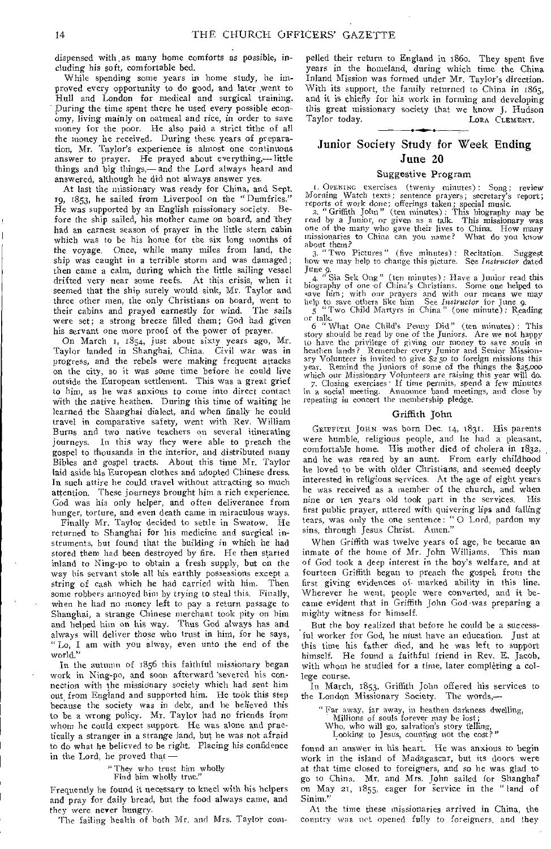dispensed with, as many home comforts as possible, including his soft, comfortable bed.

While spending some years in home study, he improved every opportunity to do good, and later ,went to Hull and London for medical and surgical training. - During the time spent there he used every possible economy, living mainly on oatmeal and rice, in order to save money for the poor. He also paid a strict tithe of all the money he received. During these years of preparation, Mr. Taylor's experience is almost one continuous answer to prayer. He prayed about everything,—little things and big things,— and the Lord always heard and answered, although he did not always answer yes.

At last the missionary was ready for China, and Sept. 19, 1853, he sailed from Liverpool on the "Dumfries." He was supported by an English missionary society. Before the ship sailed, his mother came on board, and they had an earnest season of prayer in the little stern cabin which was to be his home for the six long months of the voyage. Once, while many miles from land, the ship was caught in a terrible storm and was damaged; then came a calm, during which the little sailing vessel drifted very near some reefs. At this crisis, when it seemed that the ship surely would sink, Mr. Taylor and three other men, the only Christians on board, went to their cabins and prayed earnestly for wind. The sails their cabins and prayed earnestly for wind. were set; a strong breeze filled them; God had given his servant one more proof of the power of prayer.

On March 1, 1854, just about sixty years ago, Mr. Taylor landed in Shanghai, China. Civil war was in progress, and the rebels were making frequent attacks on the city, so it was some time before he could live outside the European settlement. This was a great grief to him, as he was anxious to come into direct contact with the native heathen. During this time of waiting he learned the Shanghai dialect, and when finally he could travel in comparative safety, went with Rev. William Burns and two native teachers on several itinerating<br>journeys. In this way they were able to preach the In this way they were able to preach the gospel to thousands in the interior, and distributed many Bibles and gospel tracts. About this time Mr. Taylor laid aside his European clothes and adopted Chinese dress. In such attire he could travel without attracting so much attention. These journeys brought him a rich experience. God was his only helper, and often deliverance from hunger, torture, and even death came in miraculous ways.

Finally Mr. Taylor decided to settle in Swatow. He returned to Shanghai for his medicine and surgical instruments, but found that the building in which he had stored them had been destroyed by fire. He then started inland to Ning-po to obtain a fresh supply, but on the way his servant stole all his earthly possessions except a string of cash which he had carried with him. Then some robbers annoyed him by trying to steal this. Finally, when he had no money left to pay a return passage to Shanghai, a strange Chinese merchant took pity on him and helped him on his way. Thus God always has and always will deliver those who trust in him, for he says, "Lo, I am with you alway, even unto the end of the world."

In the autumn of 1856 this faithful missionary began work in Ning-po, and soon afterward 'severed his connection with the missionary society which had sent him out, from England and supported him. He took this step because the society was in debt, and he believed this to be a wrong policy. Mr. Taylor had no friends from whom he could expect support. He was alone and practically a stranger in a strange land, but he was not afraid to do what he believed to be right. Placing his confidence in the Lord, he proved that —

" They who trust him wholly

Find him wholly true."

Frequently he found it necessary to kneel with his helpers and pray for daily bread, but the food always came, and they were never hungry.

The failing health of both Mr. and Mrs. Taylor com-

pelled their return to England in 186o. They spent five years in the homeland, during which time the China Inland Mission was formed under Mr. Taylor's direction. With its support, the family returned to China in 1865, and it is chiefly for his work in forming and developing this great missionary society that we know J. Hudson LORA CLEMENT.

## Junior Society Study for Week Ending June 20

## Suggestive Program

I. OPENING exercises (twenty minutes) : Song; review Morning Watch texts; sentence prayers; secretary's report; reports of work done; offerings taken; special music. 2. " Griffith John" (ten minutes): This biography may be

read by a Junior, or given as a talk. This missionary was one of the many who gave their lives to China. How many missionaries to China can you name? What do you know

about them? 3. "Two Pictures" (five minutes) : Recitation. Suggest how we may help to change this picture. See *Instructor* dated

June 9. 4. " Sia Sek Ong" (ten minutes): Have a Junior read this biography of one -of China's Christians. Some one helped to save him; with our prayers and with our means we may help to save others like him See *Instructor* for June 9, 5 "Two Child Martyrs in China" (one minute): Reading or talk.

6 "What One Child's Penny Did" (ten minutes) : This story should be read by one of the Juniors. Are we not happy to have the privilege of giving our money to save souls in heathen lands? Remember every Junior and Senior Missionary Volunteer is invited t6 give \$250 to foreign missions this year. Remind the Juniors of some of the things the \$25,000

which our Missionary Volunteers are raising this year will do. 7. Closing exercises • If time permits, spend a few minutes in a social meeting. Announce band meetings, and close by in a social meeting. Announce band meeting repeating in concert the membership pledge.

#### Griffith John

GRIFFITH JOHN was born Dec. 14, 1831. His parents were humble, religious people, and he had a pleasant, comfortable home. His mother died of cholera in 1832, and he was reared by an aunt. From early childhood he loved to be with older Christians, and seemed deeply interested in religious services. At the age of eight years lie was received as a member of the church, and when nine or ten years old took part in the services. His first public prayer, uttered with quivering lips and falling tears, was only the one sentence: " 0 Lord, pardon my sins, through Jesus Christ. Amen."

When Griffith was twelve years of age, he became an inmate of the home of Mr. John Williams. This man of God took a deep interest in the boy's welfare, and at fourteen Griffith began to preach the gospel, from the first giving evidences of- marked ability in this line. Wherever he went, people were converted, and it became evident that in Griffith John God-was preparing a mighty witness for himself.

But the boy realized that before he could be a successful worker for God, he must have an education. Just at this time his father died, and he was left to support himself. He found a faithful friend in Rev. E. Jacob, with whom he studied for a time, later completing a college course.

In March, 1853, Griffith John offered his services to the London Missionary Society.

"Far away, far away, in heathen darkness dwelling,

Millions of souls forever may be lost;

Who, who will go, salvation's story telling Looking to Jesus, counting not the cost?"

found an answer in his heart. He was anxious to begin work in the island of Madagascar, but its doors were at that time closed to foreigners, and so he was glad to go to China. Mr. and Mrs. John sailed for Shanghai' on May 21, 1855, eager for service in the "land of Sinim."

At the time these missionaries arrived in China, the country was net opened fully to foreigners, and they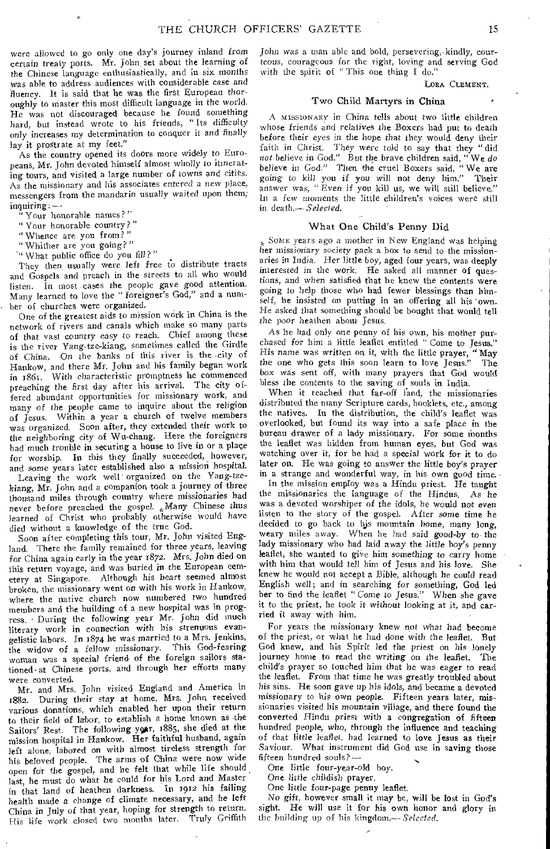were allowed to go only one day's journey inland from certain treaty ports. Mr. John set about the learning of the Chinese language enthusiastically, and in six months *was* able to address audiences with considerable *ease* and fluency. It is said that he was the first European thoroughly to master this most difficult language in the world. He was not discouraged because he found something hard, but instead wrote to his friends, "Its difficulty only increases my determination to conquer it and finally lay it prostrate at my feet."

As the country opened its doors more widely to Europeans, Mr. John devoted himself almost wholly to itinerating tours, and visited a large number of *towns* and cities. As the missionary and his associates entered a new place, messengers from the mandarin usually waited upon them;  $inquiring: -$ 

" Your honorable names?"

" Your honorable country ? "

" Whence are you from? "

"Whither are you going?"

" What public office do you fill?"

They then usually were left free to distribute tracts and Gospels and preach in the streets to all who would listen. In most-cases the people gave good attention. Many learned to love the " foreigner's God," and a number of churches were organized.

One of the greatest aids to mission work in China is the network of rivers and *canals* which make so many parts of that vast country easy to reach. Chief among these is the river Yang-tze-kiang, sometimes called the Girdle of China. On the banks of this river is the city of Hankow, and there Mr. John and his family began work in 1861. With characteristic promptness he commenced preaching the first day after his arrival. The city offered abundant opportunities for missionary work, and many of the people came to inquire about the religion of Jesus. Within a year a church of twelve members was organized. Soon after, they extended their work to the neighboring city of Wu-chang. Here the foreigners had'much trouble in securing a house to live in or a place for worship. In this they finally succeeded, however, and some years later established also a mission hospital.

Leaving the work well organized on the Yang-tzekiang, Mr. John and a companion took a journey of three thousand miles through country where missionaries had never before preached the gospel. Many Chinese thus learned of Christ who probably otherwise would have died without a knowledge of the true God.

Soon after completing this tour, Mr. John visited England. There the family remained for three *years,* leaving for China again early in the year 1872. Mrs. John died on this return voyage, and was buried in the European cemetery at Singapore. Although his heart seemed almost broken, the missionary went on with his work in Hankow, where the native church now numbered two hundred members and the building of a new hospital was in progress. - During the following year Mr. John did much literary work in connection with his strenuous evangelistic labors. In 1874 he was married to a Mrs. Jenkins,<br>the widow of a fellow missionary. This God-fearing the widow of a fellow missionary. woman was a special friend of the foreign sailors stationed• at Chinese ports, and through her efforts many were converted.

Mr. and Mrs. John visited England and America in 1882. During their stay at home, Mrs. John received various donations, which enabled her upon their return to their field of labor, to establish a home known as the Sailors' Rest. The following year, 1885, she died at the mission hospital in Hankow. Her faithful husband, again left alone, labored on with almost tireless strength for his beloved people. The arms of China were now wide open for the gospel, and he felt that while life should last, he must do what he could for his Lord and Master in that land *of* heathen darkness. In 1912 his failing health made a change of climate necessary, and he left China in July of that year, hoping for strength to return. His life work closed two months later, Truly Griffith

John was a man able and bold, persevering,-kindly, courteous, courageous for the right, loving and serving God with the spirit of "This one thing I do."

LORA CLEMENT.

## Two Child Martyrs in China

A MISSIONARY in China tells about two little children whose friends and relatives the Boxers had put to death before their eyes in the hope that they would deny their faith in Christ. They were told to say that they "did not believe in God." But the brave children said, "We do not believe in God." But the brave children said, " believe in God." Then the cruel Boxers said, "We are going to kill you if you will not deny him." Their answer was, " Even if you kill us, we will still believe." In a few moments the little children's voices were still in death.— *Selected.* 

#### What One Child's Penny Did

SOME years ago a mother in New England was helping her missionary society pack a box to send to the missionaries in India. Her little boy, aged four years, was deeply interested in the work. He asked all manner of questions, and when satisfied that he knew the contents were *going* to help those who had fewer blessings than himself, he insisted on putting in an offering all his own. He asked that something should be bought that would tell the poor heathen about Jesus,

As he had only one penny of his own, his mother purchased for him a little leaflet entitled " Come to Jesus." His name was written on it, with the little prayer, "May the one who gets this soon learn to love Jesus." The box was sent off, with many prayers that God would bless the contents to the saving of souls in India.

When it reached that far-off land, the missionaries distributed the many Scripture cards, booklets, etc., among the natives. In the distribution, the child's leaflet was overlooked, but found its way into a safe place in the bureau drawer of a lady missionary. For some months the leaflet was hidden from human eyes, but God was watching over it, for he had a special work for it to do later on. He was going to answer the little boy's prayer in a strange and wonderful way, in his own good time.

In the mission employ was a Hindu priest. He taught the missionaries the language of the Hindus. As he was a devoted worshiper of the idols, he would not even listen to the story of the gospel. After some time he decided to go back to his mountain home, *many long,*  weary miles away. When he had said *good-by to* the lady missionary who had laid away the little boy's penny leaflet, she wanted to give him something to carry home with him that would tell him of Jesus and his love. She knew he would not accept a Bible, although he could read English well; and in searching for something, God led her to find the leaflet "Come to Jesus." When she gave it to the priest, he took it without looking at it, and carried it away with him.

For years the missionary knew not what had become of the priest, or what he had done with the leaflet. But God knew, and his Spirit led the priest on his lonely journey home to read the writing on the leaflet. The child's prayer so touched him that he was eager to read the leaflet. From that time he was greatly troubled about his sins. He soon gave up his idols, and became a devoted missionary to his own people. Fifteen years later, missionaries visited his mountain village, and there found the converted Hindu priest with a congregation of fifteen hundred people, who, through the influence and teaching of that little leaflet, had learned to love Jesus as their Saviour, What instrument did God use in saving those fifteen hundred souls? —

One little four-year-old boy.

One little childish prayer,

One little four-page penny leaflet.

*No* gift, however small it may be, will be lost in God's *sight.* He will use it for his own honor and glory in the building up of his kingdom.— *Selected.*